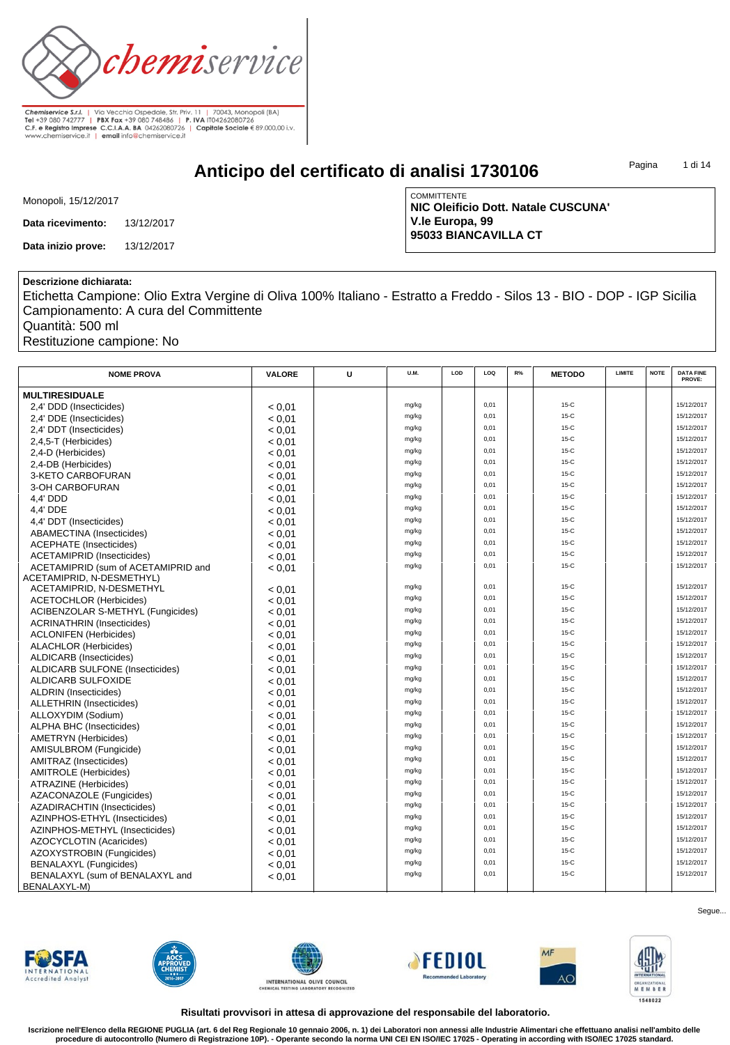

**Anticipo del certificato di analisi 1730106**

Pagina 1 di 14

| Monopoli, 15/12/2017 |
|----------------------|
|----------------------|

**Data ricevimento:** 13/12/2017

**Data inizio prove:** 13/12/2017

**COMMITTENTE NIC Oleificio Dott. Natale CUSCUNA' V.le Europa, 99 95033 BIANCAVILLA CT**

### **Descrizione dichiarata:**

Etichetta Campione: Olio Extra Vergine di Oliva 100% Italiano - Estratto a Freddo - Silos 13 - BIO - DOP - IGP Sicilia Campionamento: A cura del Committente

Quantità: 500 ml

Restituzione campione: No

| <b>NOME PROVA</b>                                                | <b>VALORE</b>    | U | U.M.  | LOD | LOQ  | R% | <b>METODO</b> | <b>LIMITE</b> | <b>NOTE</b> | <b>DATA FINE</b><br>PROVE: |
|------------------------------------------------------------------|------------------|---|-------|-----|------|----|---------------|---------------|-------------|----------------------------|
| <b>MULTIRESIDUALE</b>                                            |                  |   |       |     |      |    |               |               |             |                            |
| 2,4' DDD (Insecticides)                                          | < 0.01           |   | mg/kg |     | 0,01 |    | $15-C$        |               |             | 15/12/2017                 |
| 2,4' DDE (Insecticides)                                          | < 0.01           |   | mg/kg |     | 0.01 |    | $15-C$        |               |             | 15/12/2017                 |
| 2,4' DDT (Insecticides)                                          | < 0.01           |   | mg/kg |     | 0,01 |    | $15-C$        |               |             | 15/12/2017                 |
| 2.4.5-T (Herbicides)                                             | < 0.01           |   | mg/kg |     | 0.01 |    | $15-C$        |               |             | 15/12/2017                 |
| 2,4-D (Herbicides)                                               | < 0.01           |   | mg/kg |     | 0,01 |    | $15-C$        |               |             | 15/12/2017                 |
| 2,4-DB (Herbicides)                                              | < 0.01           |   | mg/kg |     | 0.01 |    | $15-C$        |               |             | 15/12/2017                 |
| 3-KETO CARBOFURAN                                                | < 0.01           |   | mg/kg |     | 0,01 |    | $15-C$        |               |             | 15/12/2017                 |
| 3-OH CARBOFURAN                                                  | < 0.01           |   | mg/kg |     | 0,01 |    | $15-C$        |               |             | 15/12/2017                 |
| 4.4' DDD                                                         | < 0.01           |   | mg/kg |     | 0,01 |    | $15-C$        |               |             | 15/12/2017                 |
| 4.4' DDE                                                         | < 0.01           |   | mg/kg |     | 0,01 |    | $15-C$        |               |             | 15/12/2017                 |
| 4,4' DDT (Insecticides)                                          | < 0.01           |   | mg/kg |     | 0,01 |    | $15-C$        |               |             | 15/12/2017                 |
| ABAMECTINA (Insecticides)                                        | < 0.01           |   | mg/kg |     | 0,01 |    | $15-C$        |               |             | 15/12/2017                 |
| <b>ACEPHATE</b> (Insecticides)                                   |                  |   | mg/kg |     | 0.01 |    | $15-C$        |               |             | 15/12/2017                 |
|                                                                  | < 0.01<br>< 0.01 |   | mg/kg |     | 0,01 |    | $15-C$        |               |             | 15/12/2017                 |
| <b>ACETAMIPRID (Insecticides)</b>                                |                  |   | mg/kg |     | 0.01 |    | $15-C$        |               |             | 15/12/2017                 |
| ACETAMIPRID (sum of ACETAMIPRID and<br>ACETAMIPRID, N-DESMETHYL) | < 0.01           |   |       |     |      |    |               |               |             |                            |
| ACETAMIPRID, N-DESMETHYL                                         | < 0.01           |   | mg/kg |     | 0,01 |    | $15-C$        |               |             | 15/12/2017                 |
| <b>ACETOCHLOR (Herbicides)</b>                                   | < 0.01           |   | mg/kg |     | 0,01 |    | $15-C$        |               |             | 15/12/2017                 |
| <b>ACIBENZOLAR S-METHYL (Fungicides)</b>                         | < 0.01           |   | mg/kg |     | 0,01 |    | $15-C$        |               |             | 15/12/2017                 |
| <b>ACRINATHRIN (Insecticides)</b>                                | < 0.01           |   | mg/kg |     | 0.01 |    | $15-C$        |               |             | 15/12/2017                 |
| <b>ACLONIFEN</b> (Herbicides)                                    | < 0.01           |   | mg/kg |     | 0.01 |    | $15-C$        |               |             | 15/12/2017                 |
| <b>ALACHLOR (Herbicides)</b>                                     | < 0.01           |   | mg/kg |     | 0.01 |    | $15-C$        |               |             | 15/12/2017                 |
| ALDICARB (Insecticides)                                          | < 0.01           |   | mg/kg |     | 0,01 |    | $15-C$        |               |             | 15/12/2017                 |
| <b>ALDICARB SULFONE (Insecticides)</b>                           | < 0.01           |   | mg/kg |     | 0.01 |    | $15-C$        |               |             | 15/12/2017                 |
|                                                                  |                  |   | mg/kg |     | 0,01 |    | $15-C$        |               |             | 15/12/2017                 |
| ALDICARB SULFOXIDE                                               | < 0.01           |   | mg/kg |     | 0.01 |    | $15-C$        |               |             | 15/12/2017                 |
| <b>ALDRIN</b> (Insecticides)                                     | < 0.01           |   | mg/kg |     | 0,01 |    | $15-C$        |               |             | 15/12/2017                 |
| ALLETHRIN (Insecticides)                                         | < 0.01           |   | mg/kg |     | 0.01 |    | $15-C$        |               |             | 15/12/2017                 |
| ALLOXYDIM (Sodium)                                               | < 0.01           |   | mg/kg |     | 0,01 |    | $15-C$        |               |             | 15/12/2017                 |
| <b>ALPHA BHC (Insecticides)</b>                                  | < 0.01           |   | mg/kg |     | 0,01 |    | $15-C$        |               |             | 15/12/2017                 |
| <b>AMETRYN</b> (Herbicides)                                      | < 0.01           |   |       |     | 0,01 |    | $15-C$        |               |             | 15/12/2017                 |
| AMISULBROM (Fungicide)                                           | < 0.01           |   | mg/kg |     | 0,01 |    | $15-C$        |               |             | 15/12/2017                 |
| <b>AMITRAZ</b> (Insecticides)                                    | < 0.01           |   | mg/kg |     |      |    | $15-C$        |               |             | 15/12/2017                 |
| <b>AMITROLE</b> (Herbicides)                                     | < 0.01           |   | mg/kg |     | 0,01 |    |               |               |             |                            |
| ATRAZINE (Herbicides)                                            | < 0.01           |   | mg/kg |     | 0,01 |    | $15-C$        |               |             | 15/12/2017                 |
| AZACONAZOLE (Fungicides)                                         | < 0.01           |   | mg/kg |     | 0,01 |    | $15-C$        |               |             | 15/12/2017                 |
| <b>AZADIRACHTIN (Insecticides)</b>                               | < 0.01           |   | mg/kg |     | 0,01 |    | $15-C$        |               |             | 15/12/2017                 |
| AZINPHOS-ETHYL (Insecticides)                                    | < 0.01           |   | mg/kg |     | 0.01 |    | $15-C$        |               |             | 15/12/2017                 |
| AZINPHOS-METHYL (Insecticides)                                   | < 0.01           |   | mg/kg |     | 0.01 |    | $15-C$        |               |             | 15/12/2017                 |
| AZOCYCLOTIN (Acaricides)                                         | < 0.01           |   | mg/kg |     | 0,01 |    | $15-C$        |               |             | 15/12/2017                 |
| AZOXYSTROBIN (Fungicides)                                        | < 0.01           |   | mg/kg |     | 0.01 |    | $15-C$        |               |             | 15/12/2017                 |
| <b>BENALAXYL</b> (Fungicides)                                    | < 0.01           |   | mg/kg |     | 0,01 |    | $15-C$        |               |             | 15/12/2017                 |
| BENALAXYL (sum of BENALAXYL and                                  | < 0.01           |   | mg/kg |     | 0,01 |    | $15-C$        |               |             | 15/12/2017                 |
| BENALAXYL-M)                                                     |                  |   |       |     |      |    |               |               |             |                            |













Segue...

**Risultati provvisori in attesa di approvazione del responsabile del laboratorio.**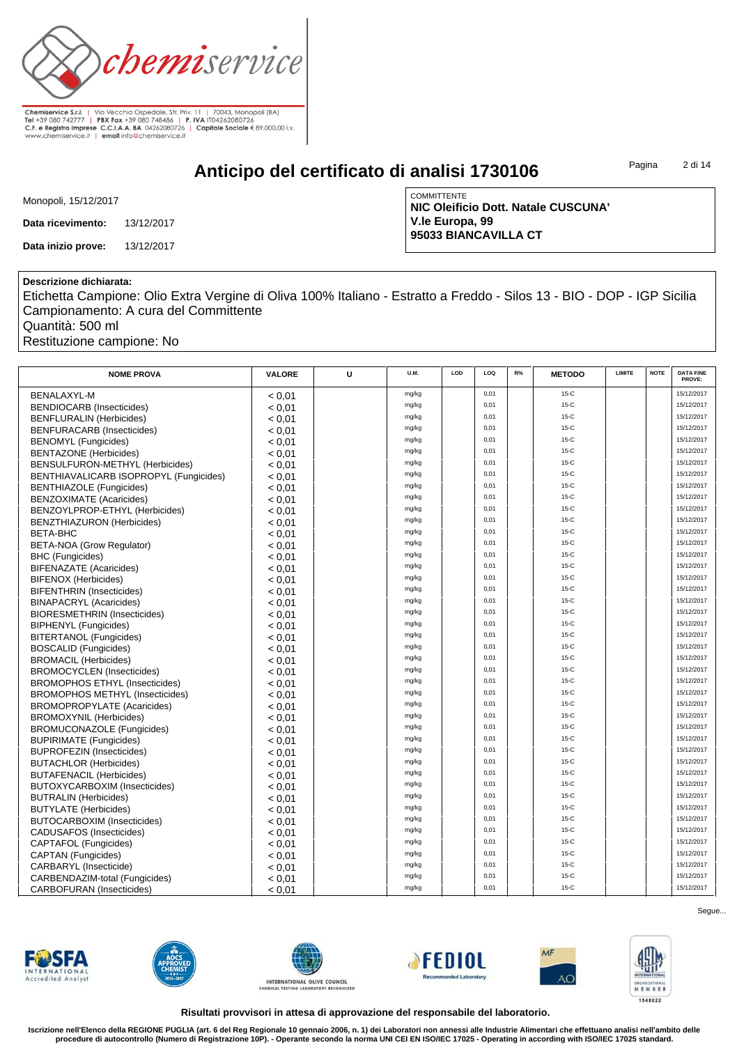

**Anticipo del certificato di analisi 1730106**

Pagina 2 di 14

| Monopoli, 15/12/2017 |
|----------------------|
|----------------------|

**Data ricevimento:** 13/12/2017

**Data inizio prove:** 13/12/2017

**COMMITTENTE NIC Oleificio Dott. Natale CUSCUNA' V.le Europa, 99 95033 BIANCAVILLA CT**

#### **Descrizione dichiarata:**

Etichetta Campione: Olio Extra Vergine di Oliva 100% Italiano - Estratto a Freddo - Silos 13 - BIO - DOP - IGP Sicilia Campionamento: A cura del Committente

Quantità: 500 ml

Restituzione campione: No

| <b>NOME PROVA</b>                      | <b>VALORE</b> | U | <b>U.M.</b> | LOD | LOQ  | R% | <b>METODO</b> | LIMITE | <b>NOTE</b> | <b>DATA FINE</b><br>PROVE: |
|----------------------------------------|---------------|---|-------------|-----|------|----|---------------|--------|-------------|----------------------------|
| <b>BENALAXYL-M</b>                     | < 0.01        |   | mg/kg       |     | 0,01 |    | $15-C$        |        |             | 15/12/2017                 |
| <b>BENDIOCARB (Insecticides)</b>       | < 0.01        |   | mg/kg       |     | 0,01 |    | $15-C$        |        |             | 15/12/2017                 |
| <b>BENFLURALIN (Herbicides)</b>        | < 0.01        |   | mg/kg       |     | 0,01 |    | $15-C$        |        |             | 15/12/2017                 |
| <b>BENFURACARB</b> (Insecticides)      | < 0.01        |   | mg/kg       |     | 0,01 |    | $15-C$        |        |             | 15/12/2017                 |
| <b>BENOMYL</b> (Fungicides)            | < 0.01        |   | mg/kg       |     | 0,01 |    | $15-C$        |        |             | 15/12/2017                 |
| <b>BENTAZONE</b> (Herbicides)          | < 0.01        |   | mg/kg       |     | 0.01 |    | $15-C$        |        |             | 15/12/2017                 |
| BENSULFURON-METHYL (Herbicides)        | < 0.01        |   | mg/kg       |     | 0.01 |    | $15-C$        |        |             | 15/12/2017                 |
| BENTHIAVALICARB ISOPROPYL (Fungicides) | < 0.01        |   | mg/kg       |     | 0,01 |    | $15-C$        |        |             | 15/12/2017                 |
| <b>BENTHIAZOLE (Fungicides)</b>        | < 0.01        |   | mg/kg       |     | 0,01 |    | $15-C$        |        |             | 15/12/2017                 |
| <b>BENZOXIMATE (Acaricides)</b>        | < 0.01        |   | mg/kg       |     | 0,01 |    | $15-C$        |        |             | 15/12/2017                 |
| BENZOYLPROP-ETHYL (Herbicides)         | < 0.01        |   | mg/kg       |     | 0,01 |    | $15-C$        |        |             | 15/12/2017                 |
| <b>BENZTHIAZURON (Herbicides)</b>      | < 0.01        |   | mg/kg       |     | 0,01 |    | $15-C$        |        |             | 15/12/2017                 |
| <b>BETA-BHC</b>                        | < 0.01        |   | mg/kg       |     | 0,01 |    | $15-C$        |        |             | 15/12/2017                 |
| <b>BETA-NOA (Grow Regulator)</b>       | < 0.01        |   | mg/kg       |     | 0,01 |    | $15-C$        |        |             | 15/12/2017                 |
| <b>BHC</b> (Fungicides)                | < 0.01        |   | mg/kg       |     | 0.01 |    | $15-C$        |        |             | 15/12/2017                 |
| <b>BIFENAZATE (Acaricides)</b>         | < 0.01        |   | mg/kg       |     | 0,01 |    | $15-C$        |        |             | 15/12/2017                 |
| <b>BIFENOX (Herbicides)</b>            | < 0.01        |   | mg/kg       |     | 0,01 |    | $15-C$        |        |             | 15/12/2017                 |
| <b>BIFENTHRIN</b> (Insecticides)       | < 0.01        |   | mg/kg       |     | 0,01 |    | $15-C$        |        |             | 15/12/2017                 |
| <b>BINAPACRYL (Acaricides)</b>         | < 0.01        |   | mg/kg       |     | 0,01 |    | $15-C$        |        |             | 15/12/2017                 |
| <b>BIORESMETHRIN (Insecticides)</b>    | < 0.01        |   | mg/kg       |     | 0,01 |    | $15-C$        |        |             | 15/12/2017                 |
| <b>BIPHENYL</b> (Fungicides)           | < 0.01        |   | mg/kg       |     | 0,01 |    | $15-C$        |        |             | 15/12/2017                 |
| <b>BITERTANOL (Fungicides)</b>         | < 0.01        |   | mg/kg       |     | 0,01 |    | $15-C$        |        |             | 15/12/2017                 |
| <b>BOSCALID (Fungicides)</b>           | < 0.01        |   | mg/kg       |     | 0,01 |    | $15-C$        |        |             | 15/12/2017                 |
| <b>BROMACIL (Herbicides)</b>           | < 0.01        |   | mg/kg       |     | 0,01 |    | $15-C$        |        |             | 15/12/2017                 |
| <b>BROMOCYCLEN</b> (Insecticides)      | < 0.01        |   | mg/kg       |     | 0,01 |    | $15-C$        |        |             | 15/12/2017                 |
| <b>BROMOPHOS ETHYL (Insecticides)</b>  | < 0.01        |   | mg/kg       |     | 0,01 |    | $15-C$        |        |             | 15/12/2017                 |
| <b>BROMOPHOS METHYL (Insecticides)</b> | < 0.01        |   | mg/kg       |     | 0,01 |    | $15-C$        |        |             | 15/12/2017                 |
| <b>BROMOPROPYLATE (Acaricides)</b>     | < 0.01        |   | mg/kg       |     | 0,01 |    | $15-C$        |        |             | 15/12/2017                 |
| <b>BROMOXYNIL (Herbicides)</b>         | < 0.01        |   | mg/kg       |     | 0,01 |    | $15-C$        |        |             | 15/12/2017                 |
| <b>BROMUCONAZOLE (Fungicides)</b>      | < 0.01        |   | mg/kg       |     | 0,01 |    | $15-C$        |        |             | 15/12/2017                 |
| <b>BUPIRIMATE (Fungicides)</b>         | < 0.01        |   | mg/kg       |     | 0,01 |    | $15-C$        |        |             | 15/12/2017                 |
| <b>BUPROFEZIN (Insecticides)</b>       | < 0.01        |   | mg/kg       |     | 0,01 |    | $15-C$        |        |             | 15/12/2017                 |
| <b>BUTACHLOR (Herbicides)</b>          | < 0.01        |   | mg/kg       |     | 0.01 |    | $15-C$        |        |             | 15/12/2017                 |
| <b>BUTAFENACIL (Herbicides)</b>        | < 0.01        |   | mg/kg       |     | 0,01 |    | $15-C$        |        |             | 15/12/2017                 |
| BUTOXYCARBOXIM (Insecticides)          | < 0.01        |   | mg/kg       |     | 0.01 |    | $15-C$        |        |             | 15/12/2017                 |
| <b>BUTRALIN (Herbicides)</b>           | < 0.01        |   | mg/kg       |     | 0,01 |    | $15-C$        |        |             | 15/12/2017                 |
| <b>BUTYLATE</b> (Herbicides)           | < 0.01        |   | mg/kg       |     | 0,01 |    | $15-C$        |        |             | 15/12/2017                 |
| <b>BUTOCARBOXIM (Insecticides)</b>     | < 0.01        |   | mg/kg       |     | 0,01 |    | $15-C$        |        |             | 15/12/2017                 |
| <b>CADUSAFOS</b> (Insecticides)        | < 0.01        |   | mg/kg       |     | 0,01 |    | $15-C$        |        |             | 15/12/2017                 |
| CAPTAFOL (Fungicides)                  | < 0.01        |   | mg/kg       |     | 0,01 |    | $15-C$        |        |             | 15/12/2017                 |
| CAPTAN (Fungicides)                    | < 0.01        |   | mg/kg       |     | 0,01 |    | $15-C$        |        |             | 15/12/2017                 |
| CARBARYL (Insecticide)                 | < 0.01        |   | mg/kg       |     | 0,01 |    | $15-C$        |        |             | 15/12/2017                 |
| CARBENDAZIM-total (Fungicides)         | < 0.01        |   | mg/kg       |     | 0,01 |    | $15-C$        |        |             | 15/12/2017                 |
| <b>CARBOFURAN (Insecticides)</b>       | < 0.01        |   | mg/kg       |     | 0.01 |    | $15-C$        |        |             | 15/12/2017                 |

**FWSFA Accredited Analys** 











Segue...

**Risultati provvisori in attesa di approvazione del responsabile del laboratorio.**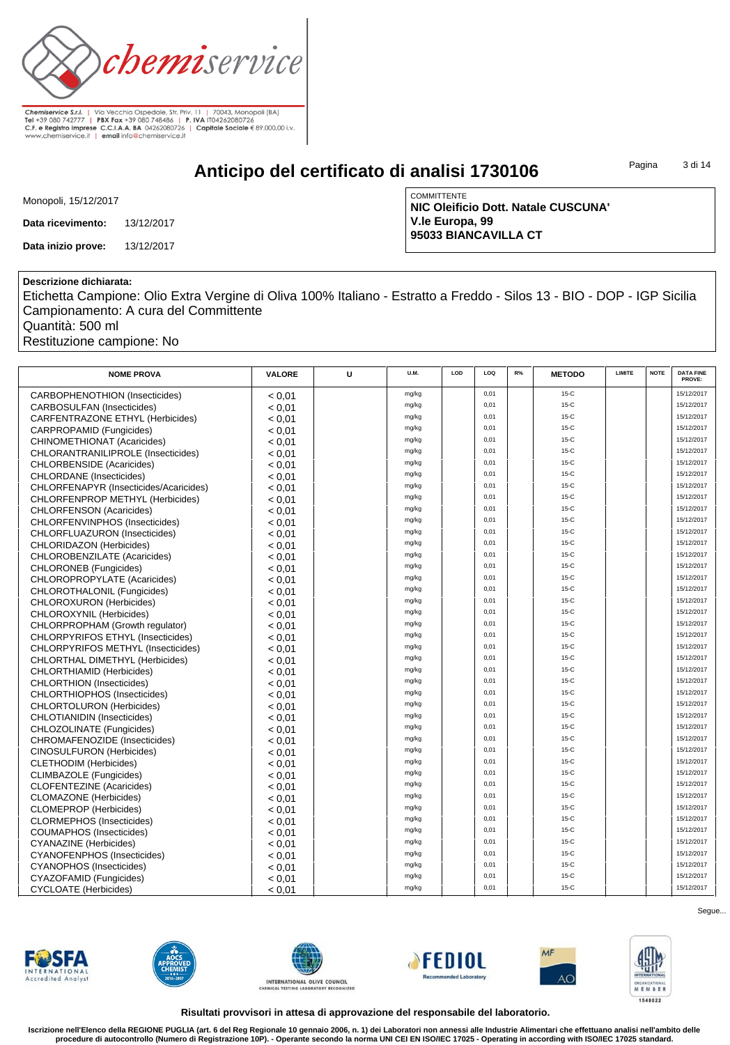

## **Anticipo del certificato di analisi 1730106**

Pagina 3 di 14

|  | Monopoli, 15/12/2017 |
|--|----------------------|
|--|----------------------|

**Data ricevimento:** 13/12/2017

**Data inizio prove:** 13/12/2017

**COMMITTENTE NIC Oleificio Dott. Natale CUSCUNA' V.le Europa, 99 95033 BIANCAVILLA CT**

### **Descrizione dichiarata:**

Etichetta Campione: Olio Extra Vergine di Oliva 100% Italiano - Estratto a Freddo - Silos 13 - BIO - DOP - IGP Sicilia Campionamento: A cura del Committente

Quantità: 500 ml

Restituzione campione: No

| <b>NOME PROVA</b>                      | <b>VALORE</b> | U | U.M.  | LOD | LOO  | R% | <b>METODO</b> | LIMITE | <b>NOTE</b> | <b>DATA FINE</b><br>PROVE: |
|----------------------------------------|---------------|---|-------|-----|------|----|---------------|--------|-------------|----------------------------|
| <b>CARBOPHENOTHION (Insecticides)</b>  | < 0.01        |   | mg/kg |     | 0,01 |    | $15-C$        |        |             | 15/12/2017                 |
| <b>CARBOSULFAN (Insecticides)</b>      | < 0.01        |   | mg/kg |     | 0,01 |    | $15-C$        |        |             | 15/12/2017                 |
| CARFENTRAZONE ETHYL (Herbicides)       | < 0.01        |   | mg/kg |     | 0,01 |    | $15-C$        |        |             | 15/12/2017                 |
| CARPROPAMID (Fungicides)               | < 0.01        |   | mg/kg |     | 0,01 |    | $15-C$        |        |             | 15/12/2017                 |
| CHINOMETHIONAT (Acaricides)            | < 0.01        |   | mg/kg |     | 0,01 |    | $15-C$        |        |             | 15/12/2017                 |
| CHLORANTRANILIPROLE (Insecticides)     | < 0.01        |   | mg/kg |     | 0.01 |    | $15-C$        |        |             | 15/12/2017                 |
| <b>CHLORBENSIDE</b> (Acaricides)       | < 0.01        |   | mg/kg |     | 0,01 |    | $15-C$        |        |             | 15/12/2017                 |
| <b>CHLORDANE</b> (Insecticides)        | < 0.01        |   | mg/kg |     | 0,01 |    | $15-C$        |        |             | 15/12/2017                 |
| CHLORFENAPYR (Insecticides/Acaricides) | < 0.01        |   | mg/kg |     | 0,01 |    | $15-C$        |        |             | 15/12/2017                 |
| CHLORFENPROP METHYL (Herbicides)       | < 0.01        |   | mg/kg |     | 0,01 |    | $15-C$        |        |             | 15/12/2017                 |
| CHLORFENSON (Acaricides)               | < 0.01        |   | mg/kg |     | 0,01 |    | $15-C$        |        |             | 15/12/2017                 |
| CHLORFENVINPHOS (Insecticides)         | < 0.01        |   | mg/kg |     | 0,01 |    | $15-C$        |        |             | 15/12/2017                 |
| CHLORFLUAZURON (Insecticides)          | < 0.01        |   | mg/kg |     | 0,01 |    | $15-C$        |        |             | 15/12/2017                 |
| CHLORIDAZON (Herbicides)               | < 0.01        |   | mg/kg |     | 0,01 |    | $15-C$        |        |             | 15/12/2017                 |
| CHLOROBENZILATE (Acaricides)           | < 0.01        |   | mg/kg |     | 0,01 |    | $15-C$        |        |             | 15/12/2017                 |
| <b>CHLORONEB</b> (Fungicides)          | < 0.01        |   | mg/kg |     | 0,01 |    | $15-C$        |        |             | 15/12/2017                 |
| CHLOROPROPYLATE (Acaricides)           | < 0.01        |   | mg/kg |     | 0,01 |    | $15-C$        |        |             | 15/12/2017                 |
| CHLOROTHALONIL (Fungicides)            | < 0.01        |   | mg/kg |     | 0,01 |    | $15-C$        |        |             | 15/12/2017                 |
| CHLOROXURON (Herbicides)               | < 0.01        |   | mg/kg |     | 0,01 |    | $15-C$        |        |             | 15/12/2017                 |
| CHLOROXYNIL (Herbicides)               | < 0.01        |   | mg/kg |     | 0,01 |    | 15-C          |        |             | 15/12/2017                 |
| CHLORPROPHAM (Growth regulator)        | < 0.01        |   | mg/kg |     | 0,01 |    | $15-C$        |        |             | 15/12/2017                 |
| CHLORPYRIFOS ETHYL (Insecticides)      | < 0.01        |   | mg/kg |     | 0,01 |    | $15-C$        |        |             | 15/12/2017                 |
| CHLORPYRIFOS METHYL (Insecticides)     | < 0.01        |   | mg/kg |     | 0,01 |    | $15-C$        |        |             | 15/12/2017                 |
| CHLORTHAL DIMETHYL (Herbicides)        | < 0.01        |   | mg/kg |     | 0,01 |    | $15-C$        |        |             | 15/12/2017                 |
| CHLORTHIAMID (Herbicides)              | < 0.01        |   | mg/kg |     | 0,01 |    | $15-C$        |        |             | 15/12/2017                 |
| <b>CHLORTHION</b> (Insecticides)       | < 0.01        |   | mg/kg |     | 0,01 |    | $15-C$        |        |             | 15/12/2017                 |
| CHLORTHIOPHOS (Insecticides)           | < 0.01        |   | mg/kg |     | 0,01 |    | $15-C$        |        |             | 15/12/2017                 |
| <b>CHLORTOLURON</b> (Herbicides)       | < 0.01        |   | mg/kg |     | 0,01 |    | $15-C$        |        |             | 15/12/2017                 |
| <b>CHLOTIANIDIN (Insecticides)</b>     | < 0.01        |   | mg/kg |     | 0,01 |    | $15-C$        |        |             | 15/12/2017                 |
| CHLOZOLINATE (Fungicides)              | < 0.01        |   | mg/kg |     | 0,01 |    | $15-C$        |        |             | 15/12/2017                 |
| CHROMAFENOZIDE (Insecticides)          | < 0.01        |   | mg/kg |     | 0,01 |    | $15-C$        |        |             | 15/12/2017                 |
| <b>CINOSULFURON (Herbicides)</b>       | < 0.01        |   | mg/kg |     | 0,01 |    | $15-C$        |        |             | 15/12/2017                 |
| <b>CLETHODIM (Herbicides)</b>          | < 0.01        |   | mg/kg |     | 0,01 |    | $15-C$        |        |             | 15/12/2017                 |
| CLIMBAZOLE (Fungicides)                | < 0.01        |   | mg/kg |     | 0,01 |    | $15-C$        |        |             | 15/12/2017                 |
| <b>CLOFENTEZINE</b> (Acaricides)       | < 0.01        |   | mg/kg |     | 0,01 |    | $15-C$        |        |             | 15/12/2017                 |
| <b>CLOMAZONE</b> (Herbicides)          | < 0.01        |   | mg/kg |     | 0,01 |    | $15-C$        |        |             | 15/12/2017                 |
| <b>CLOMEPROP</b> (Herbicides)          | < 0.01        |   | mg/kg |     | 0,01 |    | $15-C$        |        |             | 15/12/2017                 |
| <b>CLORMEPHOS (Insecticides)</b>       | < 0.01        |   | mg/kg |     | 0,01 |    | $15-C$        |        |             | 15/12/2017                 |
| <b>COUMAPHOS (Insecticides)</b>        | < 0.01        |   | mg/kg |     | 0,01 |    | $15-C$        |        |             | 15/12/2017                 |
| <b>CYANAZINE</b> (Herbicides)          | < 0.01        |   | mg/kg |     | 0,01 |    | $15-C$        |        |             | 15/12/2017                 |
| CYANOFENPHOS (Insecticides)            | < 0.01        |   | mg/kg |     | 0,01 |    | $15-C$        |        |             | 15/12/2017                 |
| <b>CYANOPHOS (Insecticides)</b>        | < 0.01        |   | mg/kg |     | 0,01 |    | $15-C$        |        |             | 15/12/2017                 |
| CYAZOFAMID (Fungicides)                | < 0.01        |   | mg/kg |     | 0,01 |    | $15-C$        |        |             | 15/12/2017                 |
| <b>CYCLOATE</b> (Herbicides)           | < 0.01        |   | mg/kg |     | 0.01 |    | $15-C$        |        |             | 15/12/2017                 |

**FWSFA Accredited Analys** 











Segue...

**Risultati provvisori in attesa di approvazione del responsabile del laboratorio.**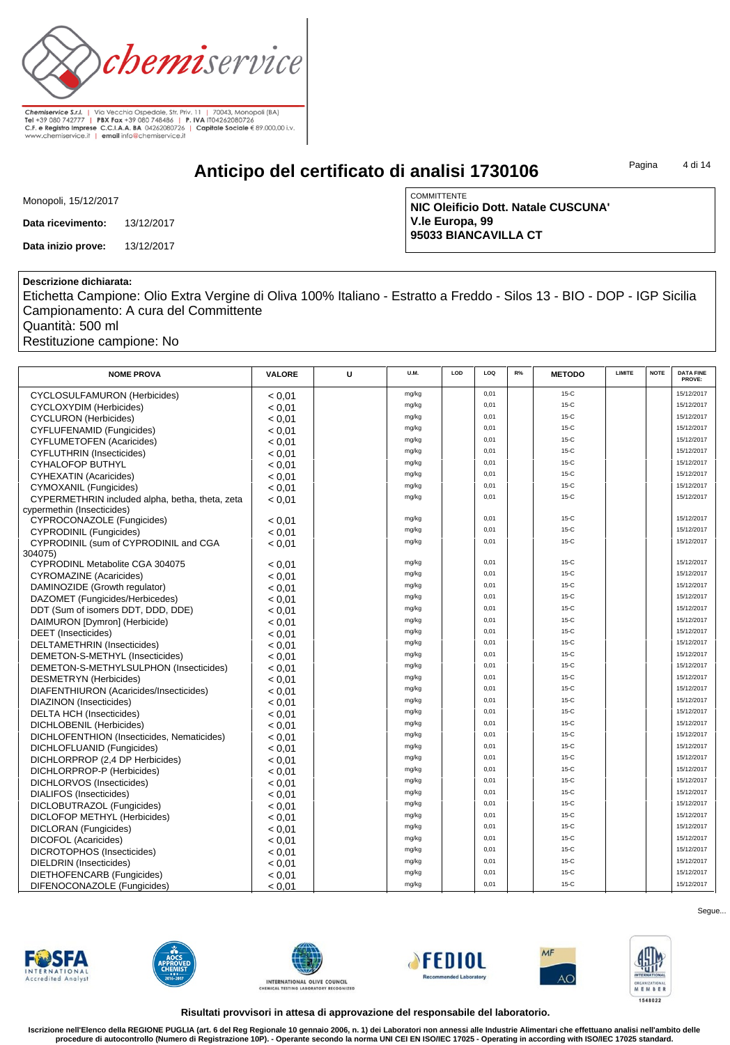

**Anticipo del certificato di analisi 1730106**

Pagina 4 di 14

|  | Monopoli, 15/12/2017 |  |
|--|----------------------|--|
|  |                      |  |

**Data ricevimento:** 13/12/2017

**Data inizio prove:** 13/12/2017

**COMMITTENTE NIC Oleificio Dott. Natale CUSCUNA' V.le Europa, 99 95033 BIANCAVILLA CT**

#### **Descrizione dichiarata:**

Etichetta Campione: Olio Extra Vergine di Oliva 100% Italiano - Estratto a Freddo - Silos 13 - BIO - DOP - IGP Sicilia Campionamento: A cura del Committente

Quantità: 500 ml

Restituzione campione: No

| <b>NOME PROVA</b>                               | <b>VALORE</b> | U | U.M.  | LOD | LOQ  | R% | <b>METODO</b> | <b>LIMITE</b> | <b>NOTE</b> | <b>DATA FINE</b><br>PROVE: |
|-------------------------------------------------|---------------|---|-------|-----|------|----|---------------|---------------|-------------|----------------------------|
| CYCLOSULFAMURON (Herbicides)                    | < 0.01        |   | mg/kg |     | 0,01 |    | $15-C$        |               |             | 15/12/2017                 |
| <b>CYCLOXYDIM</b> (Herbicides)                  | < 0.01        |   | mg/kg |     | 0,01 |    | $15-C$        |               |             | 15/12/2017                 |
| <b>CYCLURON</b> (Herbicides)                    | < 0.01        |   | mg/kg |     | 0,01 |    | $15-C$        |               |             | 15/12/2017                 |
| <b>CYFLUFENAMID (Fungicides)</b>                | < 0.01        |   | mg/kg |     | 0,01 |    | $15-C$        |               |             | 15/12/2017                 |
| <b>CYFLUMETOFEN (Acaricides)</b>                | < 0.01        |   | mg/kg |     | 0,01 |    | $15-C$        |               |             | 15/12/2017                 |
| <b>CYFLUTHRIN (Insecticides)</b>                | < 0.01        |   | mg/kg |     | 0,01 |    | $15-C$        |               |             | 15/12/2017                 |
| <b>CYHALOFOP BUTHYL</b>                         | < 0.01        |   | mg/kg |     | 0,01 |    | $15-C$        |               |             | 15/12/2017                 |
| CYHEXATIN (Acaricides)                          | < 0.01        |   | mg/kg |     | 0,01 |    | $15-C$        |               |             | 15/12/2017                 |
| CYMOXANIL (Fungicides)                          | < 0.01        |   | mg/kg |     | 0,01 |    | $15-C$        |               |             | 15/12/2017                 |
| CYPERMETHRIN included alpha, betha, theta, zeta | < 0.01        |   | mg/kg |     | 0,01 |    | $15-C$        |               |             | 15/12/2017                 |
| cypermethin (Insecticides)                      |               |   |       |     |      |    |               |               |             |                            |
| CYPROCONAZOLE (Fungicides)                      | < 0.01        |   | mg/kg |     | 0,01 |    | $15-C$        |               |             | 15/12/2017                 |
| <b>CYPRODINIL (Fungicides)</b>                  | < 0.01        |   | mg/kg |     | 0,01 |    | $15-C$        |               |             | 15/12/2017                 |
| CYPRODINIL (sum of CYPRODINIL and CGA           | < 0.01        |   | mg/kg |     | 0,01 |    | $15-C$        |               |             | 15/12/2017                 |
| 304075)                                         |               |   |       |     |      |    |               |               |             |                            |
| CYPRODINL Metabolite CGA 304075                 | < 0.01        |   | mg/kg |     | 0,01 |    | $15-C$        |               |             | 15/12/2017                 |
| <b>CYROMAZINE</b> (Acaricides)                  | < 0.01        |   | mg/kg |     | 0,01 |    | $15-C$        |               |             | 15/12/2017                 |
| DAMINOZIDE (Growth regulator)                   | < 0.01        |   | mg/kg |     | 0,01 |    | $15-C$        |               |             | 15/12/2017                 |
| DAZOMET (Fungicides/Herbicedes)                 | < 0.01        |   | mg/kg |     | 0,01 |    | $15-C$        |               |             | 15/12/2017                 |
| DDT (Sum of isomers DDT, DDD, DDE)              | < 0.01        |   | mg/kg |     | 0,01 |    | $15-C$        |               |             | 15/12/2017                 |
| DAIMURON [Dymron] (Herbicide)                   | < 0.01        |   | mg/kg |     | 0,01 |    | $15-C$        |               |             | 15/12/2017                 |
| <b>DEET</b> (Insecticides)                      | < 0.01        |   | mg/kg |     | 0,01 |    | $15-C$        |               |             | 15/12/2017                 |
| DELTAMETHRIN (Insecticides)                     | < 0.01        |   | mg/kg |     | 0,01 |    | $15-C$        |               |             | 15/12/2017                 |
| DEMETON-S-METHYL (Insecticides)                 | < 0.01        |   | mg/kg |     | 0,01 |    | $15-C$        |               |             | 15/12/2017                 |
| DEMETON-S-METHYLSULPHON (Insecticides)          | < 0.01        |   | mg/kg |     | 0,01 |    | $15-C$        |               |             | 15/12/2017                 |
| <b>DESMETRYN</b> (Herbicides)                   | < 0.01        |   | mg/kg |     | 0,01 |    | $15-C$        |               |             | 15/12/2017                 |
| DIAFENTHIURON (Acaricides/Insecticides)         | < 0.01        |   | mg/kg |     | 0.01 |    | $15-C$        |               |             | 15/12/2017                 |
| DIAZINON (Insecticides)                         | < 0.01        |   | mg/kg |     | 0,01 |    | $15-C$        |               |             | 15/12/2017                 |
| <b>DELTA HCH (Insecticides)</b>                 | < 0.01        |   | mg/kg |     | 0.01 |    | $15-C$        |               |             | 15/12/2017                 |
| DICHLOBENIL (Herbicides)                        | < 0.01        |   | mg/kg |     | 0,01 |    | $15-C$        |               |             | 15/12/2017                 |
| DICHLOFENTHION (Insecticides, Nematicides)      | < 0.01        |   | mg/kg |     | 0,01 |    | $15-C$        |               |             | 15/12/2017                 |
| DICHLOFLUANID (Fungicides)                      | < 0.01        |   | mg/kg |     | 0,01 |    | $15-C$        |               |             | 15/12/2017                 |
| DICHLORPROP (2,4 DP Herbicides)                 | < 0.01        |   | mg/kg |     | 0,01 |    | $15-C$        |               |             | 15/12/2017                 |
| DICHLORPROP-P (Herbicides)                      | < 0.01        |   | mg/kg |     | 0,01 |    | $15-C$        |               |             | 15/12/2017                 |
| DICHLORVOS (Insecticides)                       | < 0.01        |   | mg/kg |     | 0,01 |    | $15-C$        |               |             | 15/12/2017                 |
| DIALIFOS (Insecticides)                         | < 0.01        |   | mg/kg |     | 0,01 |    | $15-C$        |               |             | 15/12/2017                 |
| DICLOBUTRAZOL (Fungicides)                      | < 0.01        |   | mg/kg |     | 0,01 |    | $15-C$        |               |             | 15/12/2017                 |
| DICLOFOP METHYL (Herbicides)                    | < 0.01        |   | mg/kg |     | 0,01 |    | $15-C$        |               |             | 15/12/2017                 |
| <b>DICLORAN</b> (Fungicides)                    | < 0.01        |   | mg/kg |     | 0,01 |    | $15-C$        |               |             | 15/12/2017                 |
| <b>DICOFOL (Acaricides)</b>                     | < 0.01        |   | mg/kg |     | 0,01 |    | $15-C$        |               |             | 15/12/2017                 |
| DICROTOPHOS (Insecticides)                      | < 0.01        |   | mg/kg |     | 0,01 |    | $15-C$        |               |             | 15/12/2017                 |
| DIELDRIN (Insecticides)                         | < 0.01        |   | mg/kg |     | 0,01 |    | $15-C$        |               |             | 15/12/2017                 |
| DIETHOFENCARB (Fungicides)                      | < 0.01        |   | mg/kg |     | 0,01 |    | $15-C$        |               |             | 15/12/2017                 |
| DIFENOCONAZOLE (Fungicides)                     | < 0.01        |   | mg/kg |     | 0,01 |    | $15-C$        |               |             | 15/12/2017                 |













Segue...

**Risultati provvisori in attesa di approvazione del responsabile del laboratorio.**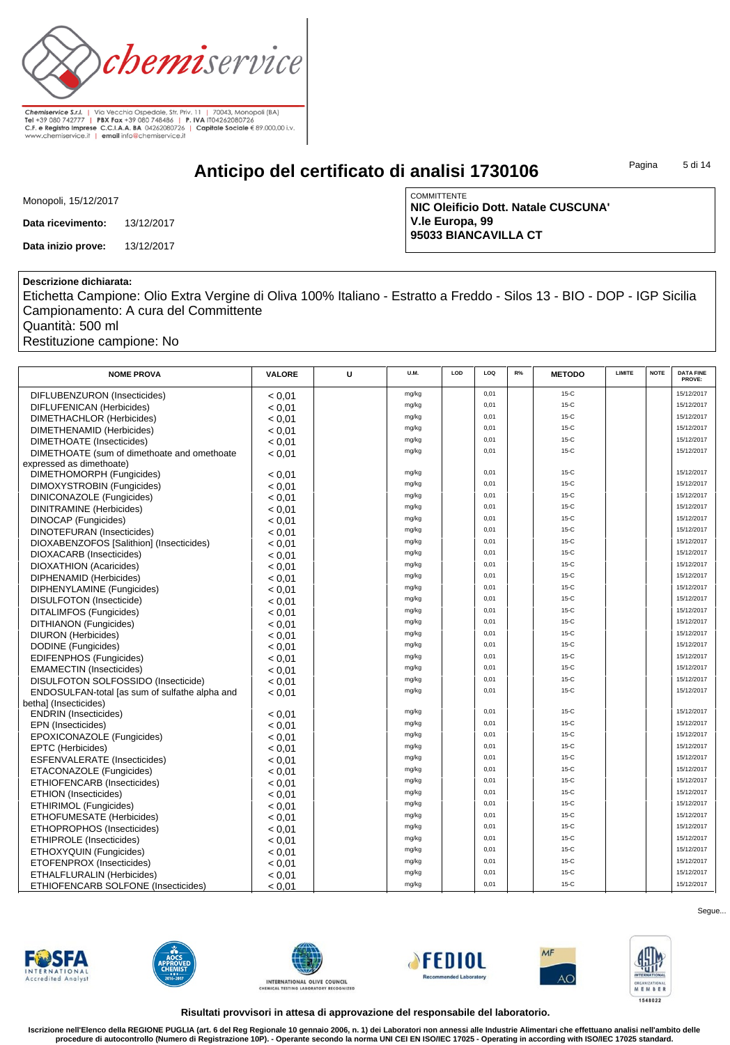

**Anticipo del certificato di analisi 1730106**

Pagina 5 di 14

|  | Monopoli, 15/12/2017 |  |
|--|----------------------|--|
|  |                      |  |

**Data ricevimento:** 13/12/2017

**Data inizio prove:** 13/12/2017

**COMMITTENTE NIC Oleificio Dott. Natale CUSCUNA' V.le Europa, 99 95033 BIANCAVILLA CT**

#### **Descrizione dichiarata:**

Etichetta Campione: Olio Extra Vergine di Oliva 100% Italiano - Estratto a Freddo - Silos 13 - BIO - DOP - IGP Sicilia Campionamento: A cura del Committente

Quantità: 500 ml

Restituzione campione: No

| <b>NOME PROVA</b>                              | <b>VALORE</b> | U | U.M.  | LOD | LOQ  | R% | <b>METODO</b> | LIMITE | <b>NOTE</b> | <b>DATA FINE</b><br>PROVE: |
|------------------------------------------------|---------------|---|-------|-----|------|----|---------------|--------|-------------|----------------------------|
| DIFLUBENZURON (Insecticides)                   | < 0.01        |   | mg/kg |     | 0,01 |    | $15-C$        |        |             | 15/12/2017                 |
| DIFLUFENICAN (Herbicides)                      | < 0.01        |   | mg/kg |     | 0,01 |    | $15-C$        |        |             | 15/12/2017                 |
| DIMETHACHLOR (Herbicides)                      | < 0.01        |   | mg/kg |     | 0,01 |    | $15-C$        |        |             | 15/12/2017                 |
| DIMETHENAMID (Herbicides)                      | < 0.01        |   | mg/kg |     | 0,01 |    | $15-C$        |        |             | 15/12/2017                 |
| DIMETHOATE (Insecticides)                      | < 0.01        |   | mg/kg |     | 0,01 |    | $15-C$        |        |             | 15/12/2017                 |
| DIMETHOATE (sum of dimethoate and omethoate    | < 0.01        |   | mg/kg |     | 0,01 |    | $15-C$        |        |             | 15/12/2017                 |
| expressed as dimethoate)                       |               |   |       |     |      |    |               |        |             |                            |
| DIMETHOMORPH (Fungicides)                      | < 0.01        |   | mg/kg |     | 0,01 |    | $15-C$        |        |             | 15/12/2017                 |
| DIMOXYSTROBIN (Fungicides)                     | < 0.01        |   | mg/kg |     | 0,01 |    | $15-C$        |        |             | 15/12/2017                 |
| DINICONAZOLE (Fungicides)                      | < 0.01        |   | mg/kg |     | 0,01 |    | $15-C$        |        |             | 15/12/2017                 |
| DINITRAMINE (Herbicides)                       | < 0.01        |   | mg/kg |     | 0,01 |    | $15-C$        |        |             | 15/12/2017                 |
| <b>DINOCAP</b> (Fungicides)                    | < 0.01        |   | mg/kg |     | 0,01 |    | $15-C$        |        |             | 15/12/2017                 |
| <b>DINOTEFURAN</b> (Insecticides)              | < 0.01        |   | mg/kg |     | 0,01 |    | $15-C$        |        |             | 15/12/2017                 |
| DIOXABENZOFOS [Salithion] (Insecticides)       | < 0.01        |   | mg/kg |     | 0,01 |    | $15-C$        |        |             | 15/12/2017                 |
| DIOXACARB (Insecticides)                       | < 0.01        |   | mg/kg |     | 0,01 |    | $15-C$        |        |             | 15/12/2017                 |
| <b>DIOXATHION</b> (Acaricides)                 | < 0.01        |   | mg/kg |     | 0,01 |    | $15-C$        |        |             | 15/12/2017                 |
| DIPHENAMID (Herbicides)                        | < 0.01        |   | mg/kg |     | 0,01 |    | $15-C$        |        |             | 15/12/2017                 |
| DIPHENYLAMINE (Fungicides)                     | < 0.01        |   | mg/kg |     | 0,01 |    | $15-C$        |        |             | 15/12/2017                 |
| DISULFOTON (Insecticide)                       | < 0.01        |   | mg/kg |     | 0,01 |    | $15-C$        |        |             | 15/12/2017                 |
| DITALIMFOS (Fungicides)                        | < 0.01        |   | mg/kg |     | 0,01 |    | $15-C$        |        |             | 15/12/2017                 |
| DITHIANON (Fungicides)                         | < 0.01        |   | mg/kg |     | 0,01 |    | $15-C$        |        |             | 15/12/2017                 |
| <b>DIURON</b> (Herbicides)                     | < 0.01        |   | mg/kg |     | 0,01 |    | $15-C$        |        |             | 15/12/2017                 |
| DODINE (Fungicides)                            | < 0.01        |   | mg/kg |     | 0,01 |    | $15-C$        |        |             | 15/12/2017                 |
| <b>EDIFENPHOS (Fungicides)</b>                 | < 0.01        |   | mg/kg |     | 0,01 |    | $15-C$        |        |             | 15/12/2017                 |
| <b>EMAMECTIN</b> (Insecticides)                | < 0.01        |   | mg/kg |     | 0,01 |    | $15-C$        |        |             | 15/12/2017                 |
| DISULFOTON SOLFOSSIDO (Insecticide)            | < 0.01        |   | mg/kg |     | 0,01 |    | $15-C$        |        |             | 15/12/2017                 |
| ENDOSULFAN-total [as sum of sulfathe alpha and | < 0.01        |   | mg/kg |     | 0,01 |    | $15-C$        |        |             | 15/12/2017                 |
| bethal (Insecticides)                          |               |   |       |     |      |    |               |        |             |                            |
| <b>ENDRIN</b> (Insecticides)                   | < 0.01        |   | mg/kg |     | 0,01 |    | $15-C$        |        |             | 15/12/2017                 |
| EPN (Insecticides)                             | < 0.01        |   | mg/kg |     | 0,01 |    | $15-C$        |        |             | 15/12/2017                 |
| EPOXICONAZOLE (Fungicides)                     | < 0.01        |   | mg/kg |     | 0,01 |    | $15-C$        |        |             | 15/12/2017                 |
| EPTC (Herbicides)                              | < 0.01        |   | mg/kg |     | 0,01 |    | $15-C$        |        |             | 15/12/2017                 |
| ESFENVALERATE (Insecticides)                   | < 0.01        |   | mg/kg |     | 0,01 |    | $15-C$        |        |             | 15/12/2017                 |
| ETACONAZOLE (Fungicides)                       | < 0.01        |   | mg/kg |     | 0,01 |    | $15-C$        |        |             | 15/12/2017                 |
| ETHIOFENCARB (Insecticides)                    | < 0.01        |   | mg/kg |     | 0,01 |    | $15-C$        |        |             | 15/12/2017                 |
| <b>ETHION</b> (Insecticides)                   | < 0.01        |   | mg/kg |     | 0,01 |    | $15-C$        |        |             | 15/12/2017                 |
| <b>ETHIRIMOL (Fungicides)</b>                  | < 0.01        |   | mg/kg |     | 0,01 |    | $15-C$        |        |             | 15/12/2017                 |
| ETHOFUMESATE (Herbicides)                      | < 0.01        |   | mg/kg |     | 0,01 |    | $15-C$        |        |             | 15/12/2017                 |
| ETHOPROPHOS (Insecticides)                     | < 0.01        |   | mg/kg |     | 0,01 |    | $15-C$        |        |             | 15/12/2017                 |
| <b>ETHIPROLE</b> (Insecticides)                | < 0.01        |   | mg/kg |     | 0,01 |    | $15-C$        |        |             | 15/12/2017                 |
| ETHOXYQUIN (Fungicides)                        | < 0.01        |   | mg/kg |     | 0,01 |    | $15-C$        |        |             | 15/12/2017                 |
| ETOFENPROX (Insecticides)                      | < 0.01        |   | mg/kg |     | 0,01 |    | $15-C$        |        |             | 15/12/2017                 |
| <b>ETHALFLURALIN (Herbicides)</b>              | < 0.01        |   | mg/kg |     | 0,01 |    | $15-C$        |        |             | 15/12/2017                 |
| ETHIOFENCARB SOLFONE (Insecticides)            | < 0.01        |   | mg/kg |     | 0,01 |    | $15-C$        |        |             | 15/12/2017                 |













Segue...

**Risultati provvisori in attesa di approvazione del responsabile del laboratorio.**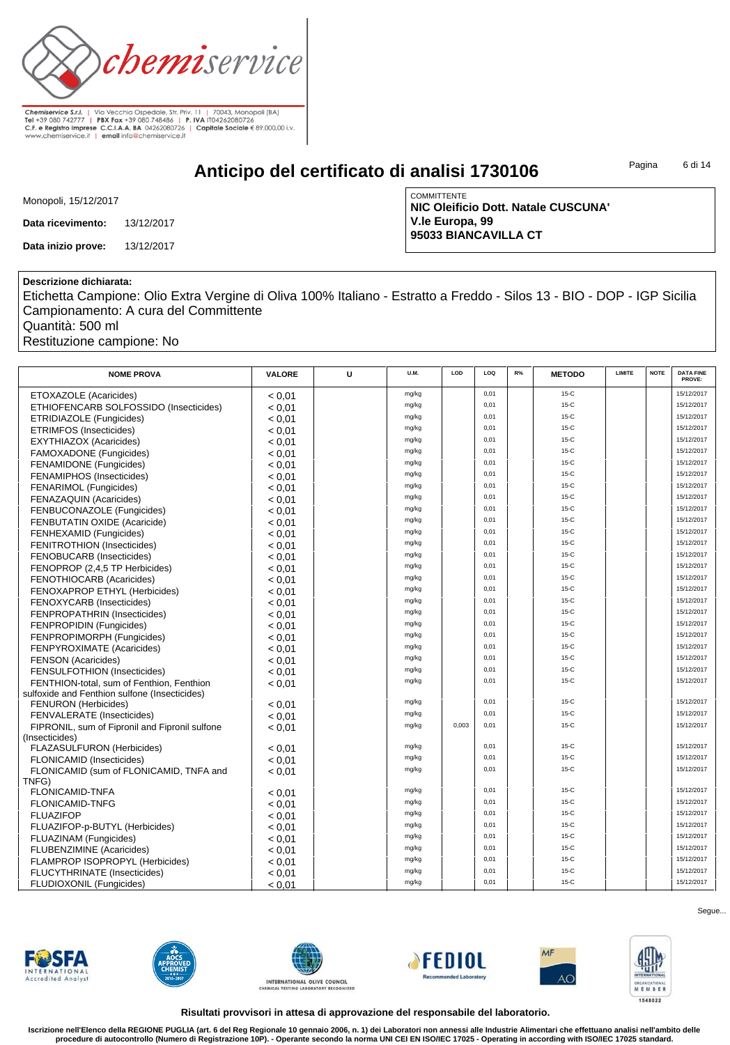

**Anticipo del certificato di analisi 1730106**

Pagina 6 di 14

|  | Monopoli, 15/12/2017 |  |
|--|----------------------|--|
|  |                      |  |

**Data ricevimento:** 13/12/2017

**Data inizio prove:** 13/12/2017

**COMMITTENTE NIC Oleificio Dott. Natale CUSCUNA' V.le Europa, 99 95033 BIANCAVILLA CT**

#### **Descrizione dichiarata:**

Etichetta Campione: Olio Extra Vergine di Oliva 100% Italiano - Estratto a Freddo - Silos 13 - BIO - DOP - IGP Sicilia Campionamento: A cura del Committente

Quantità: 500 ml

Restituzione campione: No

| <b>NOME PROVA</b>                              | <b>VALORE</b> | U | <b>U.M.</b>    | LOD   | LOQ  | R% | <b>METODO</b> | <b>LIMITE</b> | <b>NOTE</b> | <b>DATA FINE</b><br>PROVE: |
|------------------------------------------------|---------------|---|----------------|-------|------|----|---------------|---------------|-------------|----------------------------|
|                                                |               |   | mg/kg          |       | 0,01 |    | $15-C$        |               |             | 15/12/2017                 |
| ETOXAZOLE (Acaricides)                         | < 0.01        |   | mg/kg          |       | 0,01 |    | $15-C$        |               |             | 15/12/2017                 |
| ETHIOFENCARB SOLFOSSIDO (Insecticides)         | < 0.01        |   | mg/kg          |       | 0,01 |    | $15-C$        |               |             | 15/12/2017                 |
| ETRIDIAZOLE (Fungicides)                       | < 0.01        |   | mg/kg          |       | 0,01 |    | $15-C$        |               |             | 15/12/2017                 |
| <b>ETRIMFOS (Insecticides)</b>                 | < 0.01        |   | mg/kg          |       | 0,01 |    | $15-C$        |               |             | 15/12/2017                 |
| <b>EXYTHIAZOX (Acaricides)</b>                 | < 0.01        |   | mg/kg          |       | 0,01 |    | $15-C$        |               |             | 15/12/2017                 |
| FAMOXADONE (Fungicides)                        | < 0.01        |   | mg/kg          |       | 0,01 |    | $15-C$        |               |             | 15/12/2017                 |
| FENAMIDONE (Fungicides)                        | < 0.01        |   |                |       | 0,01 |    | $15-C$        |               |             | 15/12/2017                 |
| FENAMIPHOS (Insecticides)                      | < 0.01        |   | mg/kg          |       | 0,01 |    | $15-C$        |               |             | 15/12/2017                 |
| <b>FENARIMOL</b> (Fungicides)                  | < 0.01        |   | mg/kg          |       | 0,01 |    | $15-C$        |               |             | 15/12/2017                 |
| <b>FENAZAQUIN (Acaricides)</b>                 | < 0.01        |   | mg/kg          |       |      |    |               |               |             |                            |
| FENBUCONAZOLE (Fungicides)                     | < 0.01        |   | mg/kg          |       | 0,01 |    | $15-C$        |               |             | 15/12/2017                 |
| FENBUTATIN OXIDE (Acaricide)                   | < 0.01        |   | mg/kg          |       | 0,01 |    | $15-C$        |               |             | 15/12/2017                 |
| FENHEXAMID (Fungicides)                        | < 0.01        |   | mg/kg          |       | 0,01 |    | $15-C$        |               |             | 15/12/2017                 |
| FENITROTHION (Insecticides)                    | < 0.01        |   | mg/kg          |       | 0,01 |    | $15-C$        |               |             | 15/12/2017                 |
| FENOBUCARB (Insecticides)                      | < 0.01        |   | mg/kg          |       | 0,01 |    | $15-C$        |               |             | 15/12/2017                 |
| FENOPROP (2,4,5 TP Herbicides)                 | < 0.01        |   | mg/kg          |       | 0,01 |    | $15-C$        |               |             | 15/12/2017                 |
| <b>FENOTHIOCARB (Acaricides)</b>               | < 0.01        |   | mg/kg          |       | 0,01 |    | $15-C$        |               |             | 15/12/2017                 |
| FENOXAPROP ETHYL (Herbicides)                  | < 0.01        |   | mg/kg          |       | 0,01 |    | $15-C$        |               |             | 15/12/2017                 |
| FENOXYCARB (Insecticides)                      | < 0.01        |   | mg/kg          |       | 0,01 |    | $15-C$        |               |             | 15/12/2017                 |
| FENPROPATHRIN (Insecticides)                   | < 0.01        |   | mg/kg          |       | 0,01 |    | $15-C$        |               |             | 15/12/2017                 |
| FENPROPIDIN (Fungicides)                       | < 0.01        |   | mg/kg          |       | 0,01 |    | $15-C$        |               |             | 15/12/2017                 |
| FENPROPIMORPH (Fungicides)                     | < 0.01        |   | mg/kg          |       | 0,01 |    | $15-C$        |               |             | 15/12/2017                 |
| FENPYROXIMATE (Acaricides)                     | < 0.01        |   | mg/kg          |       | 0,01 |    | $15-C$        |               |             | 15/12/2017                 |
| <b>FENSON</b> (Acaricides)                     | < 0.01        |   | mg/kg          |       | 0,01 |    | $15-C$        |               |             | 15/12/2017                 |
| FENSULFOTHION (Insecticides)                   | < 0.01        |   | mg/kg          |       | 0,01 |    | $15-C$        |               |             | 15/12/2017                 |
| FENTHION-total, sum of Fenthion, Fenthion      | < 0.01        |   | mg/kg          |       | 0,01 |    | $15-C$        |               |             | 15/12/2017                 |
| sulfoxide and Fenthion sulfone (Insecticides)  |               |   |                |       |      |    |               |               |             |                            |
| <b>FENURON</b> (Herbicides)                    | < 0.01        |   | mg/kg          |       | 0,01 |    | $15-C$        |               |             | 15/12/2017                 |
| <b>FENVALERATE</b> (Insecticides)              | < 0.01        |   | mg/kg          |       | 0,01 |    | $15-C$        |               |             | 15/12/2017                 |
| FIPRONIL, sum of Fipronil and Fipronil sulfone | < 0.01        |   | mg/kg          | 0,003 | 0,01 |    | $15-C$        |               |             | 15/12/2017                 |
| (Insecticides)                                 |               |   |                |       | 0,01 |    | $15-C$        |               |             | 15/12/2017                 |
| <b>FLAZASULFURON (Herbicides)</b>              | < 0.01        |   | mg/kg          |       | 0,01 |    | $15-C$        |               |             | 15/12/2017                 |
| FLONICAMID (Insecticides)                      | < 0.01        |   | mg/kg<br>mg/kg |       | 0,01 |    | $15-C$        |               |             | 15/12/2017                 |
| FLONICAMID (sum of FLONICAMID, TNFA and        | < 0.01        |   |                |       |      |    |               |               |             |                            |
| TNFG)                                          |               |   | mg/kg          |       | 0,01 |    | $15-C$        |               |             | 15/12/2017                 |
| <b>FLONICAMID-TNFA</b>                         | < 0.01        |   | mg/kg          |       | 0,01 |    | $15-C$        |               |             | 15/12/2017                 |
| FLONICAMID-TNFG                                | < 0.01        |   | mg/kg          |       | 0,01 |    | $15-C$        |               |             | 15/12/2017                 |
| <b>FLUAZIFOP</b>                               | < 0.01        |   | mg/kg          |       | 0,01 |    | $15-C$        |               |             | 15/12/2017                 |
| FLUAZIFOP-p-BUTYL (Herbicides)                 | < 0.01        |   | mg/kg          |       | 0,01 |    | $15-C$        |               |             | 15/12/2017                 |
| <b>FLUAZINAM (Fungicides)</b>                  | < 0.01        |   |                |       | 0,01 |    | $15-C$        |               |             | 15/12/2017                 |
| <b>FLUBENZIMINE</b> (Acaricides)               | < 0.01        |   | mg/kg          |       | 0,01 |    | $15-C$        |               |             | 15/12/2017                 |
| FLAMPROP ISOPROPYL (Herbicides)                | < 0.01        |   | mg/kg          |       |      |    | $15-C$        |               |             |                            |
| FLUCYTHRINATE (Insecticides)                   | < 0.01        |   | mg/kg          |       | 0,01 |    |               |               |             | 15/12/2017                 |
| FLUDIOXONIL (Fungicides)                       | < 0.01        |   | mg/kg          |       | 0,01 |    | $15-C$        |               |             | 15/12/2017                 |













Segue...

**Risultati provvisori in attesa di approvazione del responsabile del laboratorio.**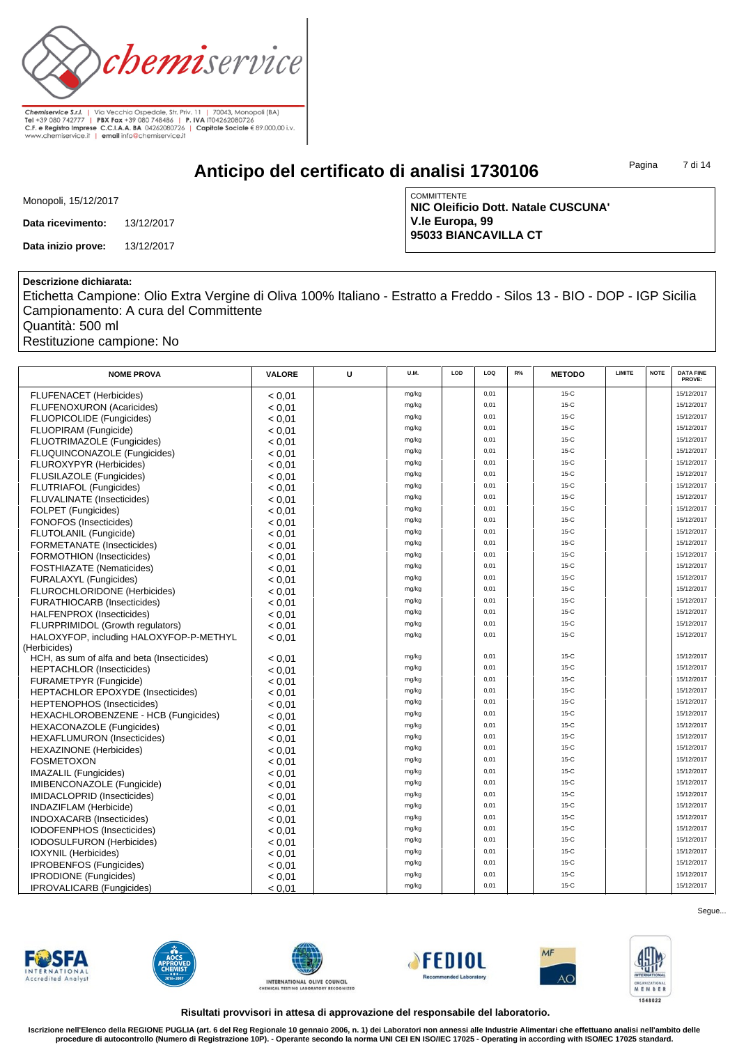

**Anticipo del certificato di analisi 1730106**

Pagina 7 di 14

| Monopoli, 15/12/2017 |
|----------------------|
|----------------------|

**Data ricevimento:** 13/12/2017

**Data inizio prove:** 13/12/2017

**COMMITTENTE NIC Oleificio Dott. Natale CUSCUNA' V.le Europa, 99 95033 BIANCAVILLA CT**

### **Descrizione dichiarata:**

Etichetta Campione: Olio Extra Vergine di Oliva 100% Italiano - Estratto a Freddo - Silos 13 - BIO - DOP - IGP Sicilia Campionamento: A cura del Committente

Quantità: 500 ml

Restituzione campione: No

| <b>NOME PROVA</b>                           | <b>VALORE</b> | U | <b>U.M.</b> | LOD | LOQ  | R% | <b>METODO</b> | <b>LIMITE</b> | <b>NOTE</b> | <b>DATA FINE</b><br>PROVE: |
|---------------------------------------------|---------------|---|-------------|-----|------|----|---------------|---------------|-------------|----------------------------|
| <b>FLUFENACET (Herbicides)</b>              | < 0.01        |   | mg/kg       |     | 0,01 |    | $15-C$        |               |             | 15/12/2017                 |
| <b>FLUFENOXURON (Acaricides)</b>            | < 0.01        |   | mg/kg       |     | 0,01 |    | $15-C$        |               |             | 15/12/2017                 |
| <b>FLUOPICOLIDE</b> (Fungicides)            | < 0.01        |   | mg/kg       |     | 0,01 |    | $15-C$        |               |             | 15/12/2017                 |
| FLUOPIRAM (Fungicide)                       | < 0.01        |   | mg/kg       |     | 0,01 |    | $15-C$        |               |             | 15/12/2017                 |
| FLUOTRIMAZOLE (Fungicides)                  | < 0.01        |   | mg/kg       |     | 0,01 |    | $15-C$        |               |             | 15/12/2017                 |
| FLUQUINCONAZOLE (Fungicides)                | < 0.01        |   | mg/kg       |     | 0,01 |    | $15-C$        |               |             | 15/12/2017                 |
| FLUROXYPYR (Herbicides)                     | < 0.01        |   | mg/kg       |     | 0,01 |    | $15-C$        |               |             | 15/12/2017                 |
| FLUSILAZOLE (Fungicides)                    | < 0.01        |   | mg/kg       |     | 0,01 |    | $15-C$        |               |             | 15/12/2017                 |
| <b>FLUTRIAFOL (Fungicides)</b>              | < 0.01        |   | mg/kg       |     | 0,01 |    | $15-C$        |               |             | 15/12/2017                 |
| FLUVALINATE (Insecticides)                  | < 0.01        |   | mg/kg       |     | 0.01 |    | $15-C$        |               |             | 15/12/2017                 |
| FOLPET (Fungicides)                         | < 0.01        |   | mg/kg       |     | 0.01 |    | $15-C$        |               |             | 15/12/2017                 |
| FONOFOS (Insecticides)                      | < 0.01        |   | mg/kg       |     | 0.01 |    | $15-C$        |               |             | 15/12/2017                 |
| <b>FLUTOLANIL (Fungicide)</b>               | < 0.01        |   | mg/kg       |     | 0,01 |    | $15-C$        |               |             | 15/12/2017                 |
| FORMETANATE (Insecticides)                  | < 0.01        |   | mg/kg       |     | 0.01 |    | $15-C$        |               |             | 15/12/2017                 |
| <b>FORMOTHION (Insecticides)</b>            | < 0.01        |   | mg/kg       |     | 0,01 |    | $15-C$        |               |             | 15/12/2017                 |
| <b>FOSTHIAZATE</b> (Nematicides)            | < 0.01        |   | mg/kg       |     | 0,01 |    | $15-C$        |               |             | 15/12/2017                 |
| FURALAXYL (Fungicides)                      | < 0.01        |   | mg/kg       |     | 0.01 |    | $15-C$        |               |             | 15/12/2017                 |
| FLUROCHLORIDONE (Herbicides)                | < 0.01        |   | mg/kg       |     | 0,01 |    | $15-C$        |               |             | 15/12/2017                 |
| <b>FURATHIOCARB (Insecticides)</b>          | < 0.01        |   | mg/kg       |     | 0.01 |    | $15-C$        |               |             | 15/12/2017                 |
| HALFENPROX (Insecticides)                   | < 0.01        |   | mg/kg       |     | 0,01 |    | $15-C$        |               |             | 15/12/2017                 |
| FLURPRIMIDOL (Growth regulators)            | < 0.01        |   | mg/kg       |     | 0,01 |    | $15-C$        |               |             | 15/12/2017                 |
| HALOXYFOP, including HALOXYFOP-P-METHYL     | < 0.01        |   | mg/kg       |     | 0,01 |    | $15-C$        |               |             | 15/12/2017                 |
| (Herbicides)                                |               |   |             |     |      |    |               |               |             |                            |
| HCH, as sum of alfa and beta (Insecticides) | < 0.01        |   | mg/kg       |     | 0,01 |    | $15-C$        |               |             | 15/12/2017                 |
| <b>HEPTACHLOR (Insecticides)</b>            | < 0.01        |   | mg/kg       |     | 0,01 |    | $15-C$        |               |             | 15/12/2017                 |
| FURAMETPYR (Fungicide)                      | < 0.01        |   | mg/kg       |     | 0,01 |    | $15-C$        |               |             | 15/12/2017                 |
| <b>HEPTACHLOR EPOXYDE (Insecticides)</b>    | < 0.01        |   | mg/kg       |     | 0,01 |    | $15-C$        |               |             | 15/12/2017                 |
| <b>HEPTENOPHOS (Insecticides)</b>           | < 0.01        |   | mg/kg       |     | 0,01 |    | $15-C$        |               |             | 15/12/2017                 |
| HEXACHLOROBENZENE - HCB (Fungicides)        | < 0.01        |   | mg/kg       |     | 0,01 |    | $15-C$        |               |             | 15/12/2017                 |
| <b>HEXACONAZOLE</b> (Fungicides)            | < 0.01        |   | mg/kg       |     | 0,01 |    | $15-C$        |               |             | 15/12/2017                 |
| <b>HEXAFLUMURON (Insecticides)</b>          | < 0.01        |   | mg/kg       |     | 0,01 |    | $15-C$        |               |             | 15/12/2017                 |
| <b>HEXAZINONE</b> (Herbicides)              | < 0.01        |   | mg/kg       |     | 0,01 |    | $15-C$        |               |             | 15/12/2017                 |
| <b>FOSMETOXON</b>                           | < 0.01        |   | mg/kg       |     | 0,01 |    | $15-C$        |               |             | 15/12/2017                 |
| IMAZALIL (Fungicides)                       | < 0.01        |   | mg/kg       |     | 0,01 |    | $15-C$        |               |             | 15/12/2017                 |
| IMIBENCONAZOLE (Fungicide)                  | < 0.01        |   | mg/kg       |     | 0,01 |    | $15-C$        |               |             | 15/12/2017                 |
| IMIDACLOPRID (Insecticides)                 | < 0.01        |   | mg/kg       |     | 0,01 |    | $15-C$        |               |             | 15/12/2017                 |
| INDAZIFLAM (Herbicide)                      | < 0.01        |   | mg/kg       |     | 0,01 |    | $15-C$        |               |             | 15/12/2017                 |
| <b>INDOXACARB</b> (Insecticides)            | < 0.01        |   | mg/kg       |     | 0,01 |    | $15-C$        |               |             | 15/12/2017                 |
| IODOFENPHOS (Insecticides)                  | < 0.01        |   | mg/kg       |     | 0,01 |    | $15-C$        |               |             | 15/12/2017                 |
| <b>IODOSULFURON</b> (Herbicides)            | < 0.01        |   | mg/kg       |     | 0,01 |    | $15-C$        |               |             | 15/12/2017                 |
| IOXYNIL (Herbicides)                        | < 0.01        |   | mg/kg       |     | 0,01 |    | $15-C$        |               |             | 15/12/2017                 |
| <b>IPROBENFOS (Fungicides)</b>              | < 0.01        |   | mg/kg       |     | 0,01 |    | $15-C$        |               |             | 15/12/2017                 |
| <b>IPRODIONE</b> (Fungicides)               | < 0.01        |   | mg/kg       |     | 0,01 |    | $15-C$        |               |             | 15/12/2017                 |
| IPROVALICARB (Fungicides)                   | < 0.01        |   | mg/kg       |     | 0,01 |    | $15-C$        |               |             | 15/12/2017                 |













Segue...

**Risultati provvisori in attesa di approvazione del responsabile del laboratorio.**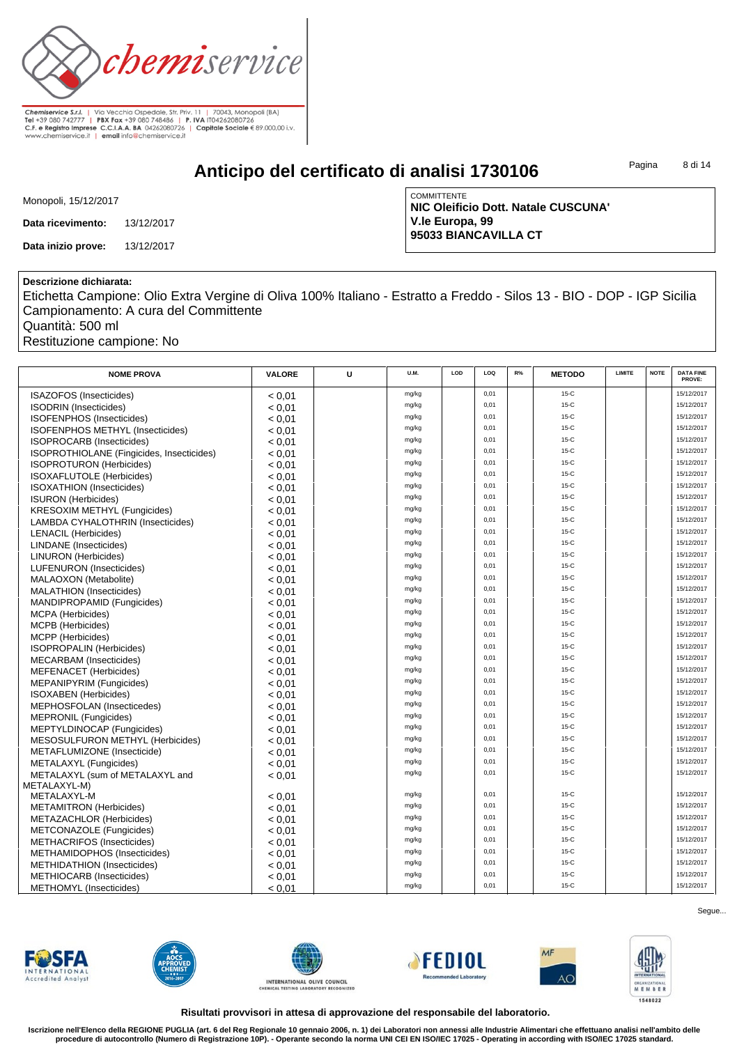

**Anticipo del certificato di analisi 1730106**

Pagina 8 di 14

| Monopoli, 15/12/2017 |
|----------------------|
|----------------------|

**Data ricevimento:** 13/12/2017

**Data inizio prove:** 13/12/2017

**COMMITTENTE NIC Oleificio Dott. Natale CUSCUNA' V.le Europa, 99 95033 BIANCAVILLA CT**

#### **Descrizione dichiarata:**

Etichetta Campione: Olio Extra Vergine di Oliva 100% Italiano - Estratto a Freddo - Silos 13 - BIO - DOP - IGP Sicilia Campionamento: A cura del Committente

Quantità: 500 ml

Restituzione campione: No

| <b>NOME PROVA</b>                         | <b>VALORE</b> | U | U.M.  | LOD | LOQ  | R% | <b>METODO</b> | LIMITE | <b>NOTE</b> | <b>DATA FINE</b><br>PROVE: |
|-------------------------------------------|---------------|---|-------|-----|------|----|---------------|--------|-------------|----------------------------|
| ISAZOFOS (Insecticides)                   | < 0.01        |   | mg/kg |     | 0,01 |    | $15-C$        |        |             | 15/12/2017                 |
| <b>ISODRIN</b> (Insecticides)             | < 0.01        |   | mg/kg |     | 0,01 |    | $15-C$        |        |             | 15/12/2017                 |
| ISOFENPHOS (Insecticides)                 | < 0.01        |   | mg/kg |     | 0,01 |    | $15-C$        |        |             | 15/12/2017                 |
| ISOFENPHOS METHYL (Insecticides)          | < 0.01        |   | mg/kg |     | 0,01 |    | $15-C$        |        |             | 15/12/2017                 |
| ISOPROCARB (Insecticides)                 | < 0.01        |   | mg/kg |     | 0,01 |    | $15-C$        |        |             | 15/12/2017                 |
| ISOPROTHIOLANE (Fingicides, Insecticides) | < 0.01        |   | mg/kg |     | 0,01 |    | $15-C$        |        |             | 15/12/2017                 |
| <b>ISOPROTURON</b> (Herbicides)           | < 0.01        |   | mg/kg |     | 0,01 |    | $15-C$        |        |             | 15/12/2017                 |
| <b>ISOXAFLUTOLE</b> (Herbicides)          | < 0.01        |   | mg/kg |     | 0,01 |    | $15-C$        |        |             | 15/12/2017                 |
| <b>ISOXATHION</b> (Insecticides)          | < 0.01        |   | mg/kg |     | 0,01 |    | $15-C$        |        |             | 15/12/2017                 |
| <b>ISURON</b> (Herbicides)                | < 0.01        |   | mg/kg |     | 0,01 |    | $15-C$        |        |             | 15/12/2017                 |
| <b>KRESOXIM METHYL (Fungicides)</b>       | < 0.01        |   | mg/kg |     | 0,01 |    | $15-C$        |        |             | 15/12/2017                 |
| LAMBDA CYHALOTHRIN (Insecticides)         | < 0.01        |   | mg/kg |     | 0,01 |    | $15-C$        |        |             | 15/12/2017                 |
| <b>LENACIL (Herbicides)</b>               | < 0.01        |   | mg/kg |     | 0,01 |    | $15-C$        |        |             | 15/12/2017                 |
| <b>LINDANE</b> (Insecticides)             | < 0.01        |   | mg/kg |     | 0,01 |    | $15-C$        |        |             | 15/12/2017                 |
| <b>LINURON</b> (Herbicides)               | < 0.01        |   | mg/kg |     | 0,01 |    | $15-C$        |        |             | 15/12/2017                 |
| LUFENURON (Insecticides)                  | < 0.01        |   | mg/kg |     | 0,01 |    | $15-C$        |        |             | 15/12/2017                 |
| MALAOXON (Metabolite)                     | < 0.01        |   | mg/kg |     | 0,01 |    | $15-C$        |        |             | 15/12/2017                 |
| <b>MALATHION</b> (Insecticides)           | < 0.01        |   | mg/kg |     | 0,01 |    | $15-C$        |        |             | 15/12/2017                 |
| MANDIPROPAMID (Fungicides)                | < 0.01        |   | mg/kg |     | 0,01 |    | $15-C$        |        |             | 15/12/2017                 |
|                                           |               |   | mg/kg |     | 0,01 |    | $15-C$        |        |             | 15/12/2017                 |
| MCPA (Herbicides)                         | < 0.01        |   | mg/kg |     | 0,01 |    | $15-C$        |        |             | 15/12/2017                 |
| MCPB (Herbicides)                         | < 0.01        |   | mg/kg |     | 0,01 |    | $15-C$        |        |             | 15/12/2017                 |
| MCPP (Herbicides)                         | < 0.01        |   | mg/kg |     | 0,01 |    | $15-C$        |        |             | 15/12/2017                 |
| <b>ISOPROPALIN (Herbicides)</b>           | < 0.01        |   |       |     | 0,01 |    | $15-C$        |        |             | 15/12/2017                 |
| <b>MECARBAM</b> (Insecticides)            | < 0.01        |   | mg/kg |     | 0,01 |    | $15-C$        |        |             | 15/12/2017                 |
| <b>MEFENACET</b> (Herbicides)             | < 0.01        |   | mg/kg |     | 0,01 |    | $15-C$        |        |             | 15/12/2017                 |
| MEPANIPYRIM (Fungicides)                  | < 0.01        |   | mg/kg |     | 0,01 |    | $15-C$        |        |             | 15/12/2017                 |
| <b>ISOXABEN</b> (Herbicides)              | < 0.01        |   | mg/kg |     | 0,01 |    | $15-C$        |        |             | 15/12/2017                 |
| MEPHOSFOLAN (Insecticedes)                | < 0.01        |   | mg/kg |     |      |    | $15-C$        |        |             | 15/12/2017                 |
| <b>MEPRONIL (Fungicides)</b>              | < 0.01        |   | mg/kg |     | 0,01 |    |               |        |             |                            |
| MEPTYLDINOCAP (Fungicides)                | < 0.01        |   | mg/kg |     | 0,01 |    | $15-C$        |        |             | 15/12/2017                 |
| MESOSULFURON METHYL (Herbicides)          | < 0.01        |   | mg/kg |     | 0,01 |    | $15-C$        |        |             | 15/12/2017                 |
| METAFLUMIZONE (Insecticide)               | < 0.01        |   | mg/kg |     | 0,01 |    | $15-C$        |        |             | 15/12/2017                 |
| METALAXYL (Fungicides)                    | < 0.01        |   | mg/kg |     | 0,01 |    | $15-C$        |        |             | 15/12/2017                 |
| METALAXYL (sum of METALAXYL and           | < 0.01        |   | mg/kg |     | 0,01 |    | $15-C$        |        |             | 15/12/2017                 |
| METALAXYL-M)                              |               |   |       |     | 0,01 |    | $15-C$        |        |             | 15/12/2017                 |
| METALAXYL-M                               | < 0.01        |   | mg/kg |     | 0.01 |    | $15-C$        |        |             | 15/12/2017                 |
| <b>METAMITRON</b> (Herbicides)            | < 0.01        |   | mg/kg |     |      |    |               |        |             | 15/12/2017                 |
| METAZACHLOR (Herbicides)                  | < 0.01        |   | mg/kg |     | 0,01 |    | 15-C          |        |             |                            |
| METCONAZOLE (Fungicides)                  | < 0.01        |   | mg/kg |     | 0,01 |    | $15-C$        |        |             | 15/12/2017                 |
| METHACRIFOS (Insecticides)                | < 0.01        |   | mg/kg |     | 0,01 |    | 15-C          |        |             | 15/12/2017                 |
| METHAMIDOPHOS (Insecticides)              | < 0.01        |   | mg/kg |     | 0,01 |    | $15-C$        |        |             | 15/12/2017                 |
| <b>METHIDATHION (Insecticides)</b>        | < 0.01        |   | mg/kg |     | 0,01 |    | $15-C$        |        |             | 15/12/2017                 |
| METHIOCARB (Insecticides)                 | < 0.01        |   | mg/kg |     | 0,01 |    | $15-C$        |        |             | 15/12/2017                 |
| <b>METHOMYL</b> (Insecticides)            | < 0.01        |   | mg/kg |     | 0,01 |    | $15-C$        |        |             | 15/12/2017                 |

**FWSFA Accredited Analys** 











Segue...

**Risultati provvisori in attesa di approvazione del responsabile del laboratorio.**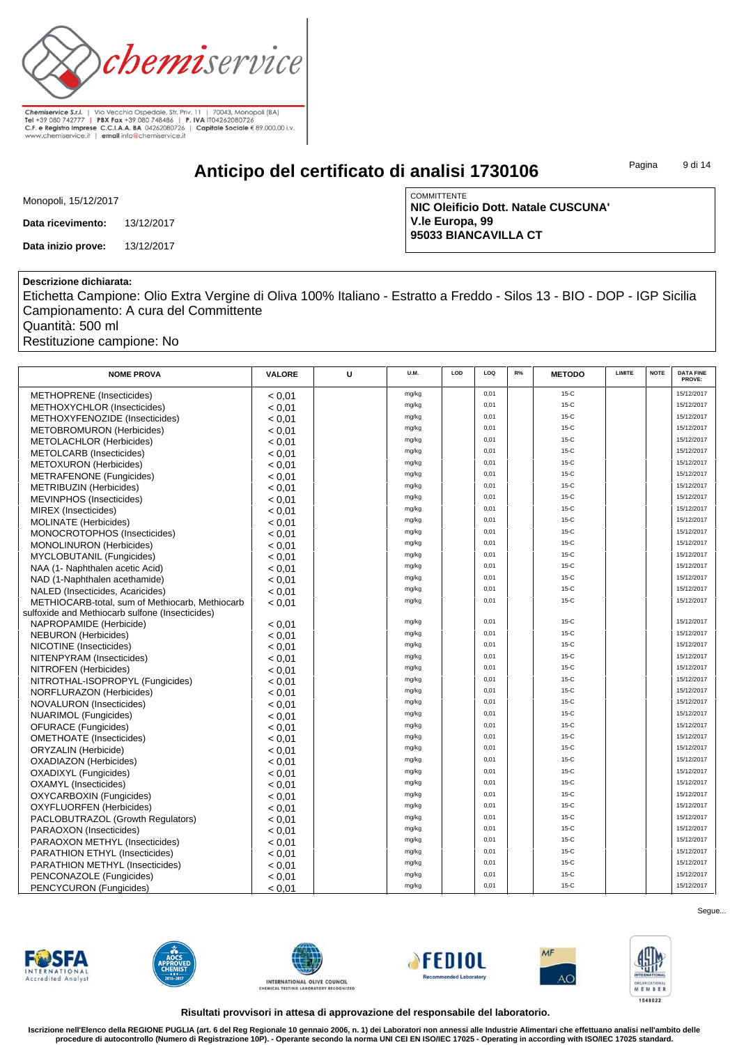

**Anticipo del certificato di analisi 1730106**

Pagina 9 di 14

| Monopoli, 15/12/2017 |
|----------------------|
|----------------------|

**Data ricevimento:** 13/12/2017

**Data inizio prove:** 13/12/2017

**COMMITTENTE NIC Oleificio Dott. Natale CUSCUNA' V.le Europa, 99 95033 BIANCAVILLA CT**

#### **Descrizione dichiarata:**

Etichetta Campione: Olio Extra Vergine di Oliva 100% Italiano - Estratto a Freddo - Silos 13 - BIO - DOP - IGP Sicilia Campionamento: A cura del Committente

Quantità: 500 ml

Restituzione campione: No

| <b>NOME PROVA</b>                               | <b>VALORE</b> | U | U.M.  | LOD | LOQ  | R% | <b>METODO</b> | LIMITE | <b>NOTE</b> | <b>DATA FINE</b><br>PROVE: |
|-------------------------------------------------|---------------|---|-------|-----|------|----|---------------|--------|-------------|----------------------------|
| <b>METHOPRENE</b> (Insecticides)                | < 0.01        |   | mg/kg |     | 0,01 |    | $15-C$        |        |             | 15/12/2017                 |
| METHOXYCHLOR (Insecticides)                     | < 0.01        |   | mg/kg |     | 0,01 |    | $15-C$        |        |             | 15/12/2017                 |
| METHOXYFENOZIDE (Insecticides)                  | < 0.01        |   | mg/kg |     | 0,01 |    | $15-C$        |        |             | 15/12/2017                 |
| <b>METOBROMURON (Herbicides)</b>                | < 0.01        |   | mg/kg |     | 0,01 |    | $15-C$        |        |             | 15/12/2017                 |
| <b>METOLACHLOR (Herbicides)</b>                 | < 0.01        |   | mg/kg |     | 0,01 |    | $15-C$        |        |             | 15/12/2017                 |
| METOLCARB (Insecticides)                        | < 0.01        |   | mg/kg |     | 0,01 |    | $15-C$        |        |             | 15/12/2017                 |
| <b>METOXURON</b> (Herbicides)                   | < 0.01        |   | mg/kg |     | 0,01 |    | $15-C$        |        |             | 15/12/2017                 |
| <b>METRAFENONE</b> (Fungicides)                 | < 0.01        |   | mg/kg |     | 0,01 |    | $15-C$        |        |             | 15/12/2017                 |
| <b>METRIBUZIN (Herbicides)</b>                  | < 0.01        |   | mg/kg |     | 0,01 |    | $15-C$        |        |             | 15/12/2017                 |
| <b>MEVINPHOS</b> (Insecticides)                 | < 0.01        |   | mg/kg |     | 0,01 |    | $15-C$        |        |             | 15/12/2017                 |
| MIREX (Insecticides)                            | < 0.01        |   | mg/kg |     | 0,01 |    | $15-C$        |        |             | 15/12/2017                 |
| <b>MOLINATE</b> (Herbicides)                    | < 0.01        |   | mg/kg |     | 0,01 |    | $15-C$        |        |             | 15/12/2017                 |
| MONOCROTOPHOS (Insecticides)                    | < 0.01        |   | mg/kg |     | 0,01 |    | $15-C$        |        |             | 15/12/2017                 |
| <b>MONOLINURON</b> (Herbicides)                 | < 0.01        |   | mg/kg |     | 0,01 |    | $15-C$        |        |             | 15/12/2017                 |
| <b>MYCLOBUTANIL (Fungicides)</b>                | < 0.01        |   | mg/kg |     | 0,01 |    | $15-C$        |        |             | 15/12/2017                 |
| NAA (1- Naphthalen acetic Acid)                 | < 0.01        |   | mg/kg |     | 0,01 |    | $15-C$        |        |             | 15/12/2017                 |
| NAD (1-Naphthalen acethamide)                   | < 0.01        |   | mg/kg |     | 0,01 |    | $15-C$        |        |             | 15/12/2017                 |
| NALED (Insecticides, Acaricides)                | < 0.01        |   | mg/kg |     | 0,01 |    | $15-C$        |        |             | 15/12/2017                 |
| METHIOCARB-total, sum of Methiocarb, Methiocarb | < 0.01        |   | mg/kg |     | 0,01 |    | $15-C$        |        |             | 15/12/2017                 |
| sulfoxide and Methiocarb sulfone (Insecticides) |               |   |       |     |      |    |               |        |             |                            |
| NAPROPAMIDE (Herbicide)                         | < 0.01        |   | mg/kg |     | 0,01 |    | $15-C$        |        |             | 15/12/2017                 |
| <b>NEBURON</b> (Herbicides)                     | < 0.01        |   | mg/kg |     | 0,01 |    | $15-C$        |        |             | 15/12/2017                 |
| NICOTINE (Insecticides)                         | < 0.01        |   | mg/kg |     | 0,01 |    | $15-C$        |        |             | 15/12/2017                 |
| NITENPYRAM (Insecticides)                       | < 0.01        |   | mg/kg |     | 0,01 |    | $15-C$        |        |             | 15/12/2017                 |
| NITROFEN (Herbicides)                           | < 0.01        |   | mg/kg |     | 0,01 |    | $15-C$        |        |             | 15/12/2017                 |
| NITROTHAL-ISOPROPYL (Fungicides)                | < 0.01        |   | mg/kg |     | 0,01 |    | $15-C$        |        |             | 15/12/2017                 |
| NORFLURAZON (Herbicides)                        | < 0.01        |   | mg/kg |     | 0,01 |    | $15-C$        |        |             | 15/12/2017                 |
| <b>NOVALURON</b> (Insecticides)                 | < 0.01        |   | mg/kg |     | 0,01 |    | $15-C$        |        |             | 15/12/2017                 |
| <b>NUARIMOL</b> (Fungicides)                    | < 0.01        |   | mg/kg |     | 0,01 |    | $15-C$        |        |             | 15/12/2017                 |
| <b>OFURACE</b> (Fungicides)                     | < 0.01        |   | mg/kg |     | 0,01 |    | $15-C$        |        |             | 15/12/2017                 |
| <b>OMETHOATE</b> (Insecticides)                 | < 0.01        |   | mg/kg |     | 0,01 |    | $15-C$        |        |             | 15/12/2017                 |
| ORYZALIN (Herbicide)                            | < 0.01        |   | mg/kg |     | 0,01 |    | $15-C$        |        |             | 15/12/2017                 |
| OXADIAZON (Herbicides)                          | < 0.01        |   | mg/kg |     | 0,01 |    | $15-C$        |        |             | 15/12/2017                 |
| <b>OXADIXYL</b> (Fungicides)                    | < 0.01        |   | mg/kg |     | 0,01 |    | $15-C$        |        |             | 15/12/2017                 |
| <b>OXAMYL</b> (Insecticides)                    | < 0.01        |   | mg/kg |     | 0,01 |    | $15-C$        |        |             | 15/12/2017                 |
| <b>OXYCARBOXIN (Fungicides)</b>                 | < 0.01        |   | mg/kg |     | 0,01 |    | $15-C$        |        |             | 15/12/2017                 |
| <b>OXYFLUORFEN (Herbicides)</b>                 | < 0.01        |   | mg/kg |     | 0,01 |    | $15-C$        |        |             | 15/12/2017                 |
| PACLOBUTRAZOL (Growth Regulators)               | < 0.01        |   | mg/kg |     | 0,01 |    | $15-C$        |        |             | 15/12/2017                 |
| PARAOXON (Insecticides)                         | < 0.01        |   | mg/kg |     | 0,01 |    | $15-C$        |        |             | 15/12/2017                 |
| PARAOXON METHYL (Insecticides)                  | < 0.01        |   | mg/kg |     | 0,01 |    | $15-C$        |        |             | 15/12/2017                 |
| PARATHION ETHYL (Insecticides)                  | < 0.01        |   | mg/kg |     | 0,01 |    | $15-C$        |        |             | 15/12/2017                 |
| PARATHION METHYL (Insecticides)                 | < 0.01        |   | mg/kg |     | 0,01 |    | $15-C$        |        |             | 15/12/2017                 |
| PENCONAZOLE (Fungicides)                        | < 0.01        |   | mg/kg |     | 0,01 |    | $15-C$        |        |             | 15/12/2017                 |
| PENCYCURON (Fungicides)                         | < 0.01        |   | mg/kg |     | 0,01 |    | $15-C$        |        |             | 15/12/2017                 |













Segue...

**Risultati provvisori in attesa di approvazione del responsabile del laboratorio.**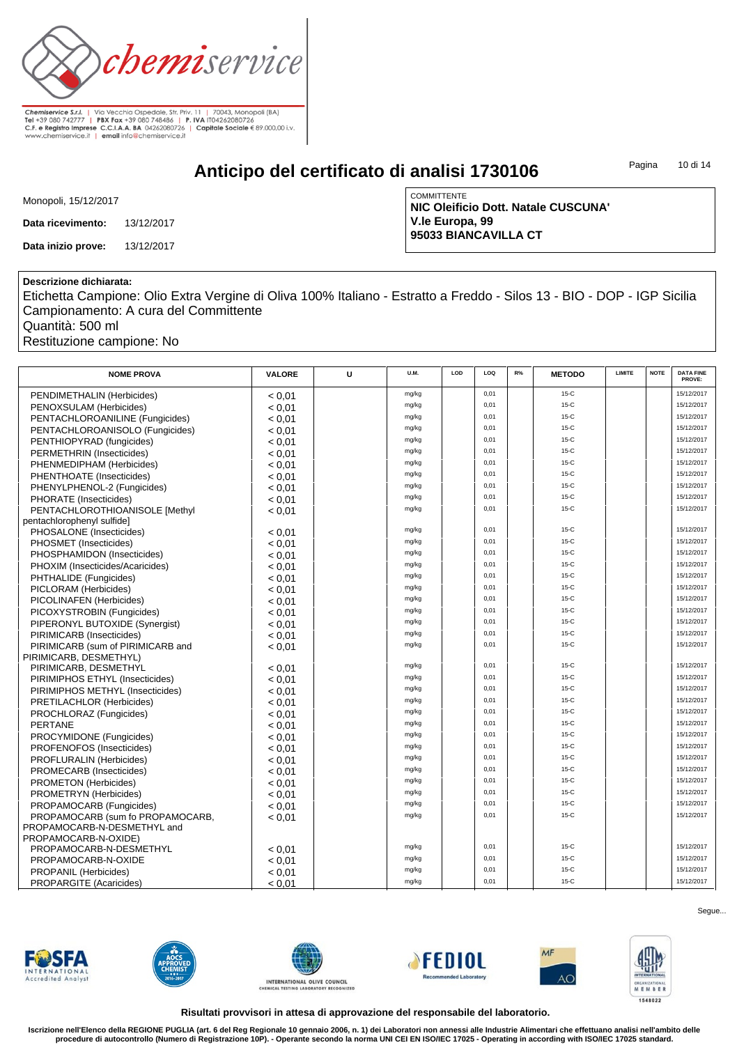

**Anticipo del certificato di analisi 1730106**

Pagina 10 di 14

| Monopoli, 15/12/2017 |
|----------------------|
|----------------------|

**Data ricevimento:** 13/12/2017

**Data inizio prove:** 13/12/2017

**COMMITTENTE NIC Oleificio Dott. Natale CUSCUNA' V.le Europa, 99 95033 BIANCAVILLA CT**

#### **Descrizione dichiarata:**

Etichetta Campione: Olio Extra Vergine di Oliva 100% Italiano - Estratto a Freddo - Silos 13 - BIO - DOP - IGP Sicilia Campionamento: A cura del Committente

Quantità: 500 ml

Restituzione campione: No

| <b>NOME PROVA</b>                 | <b>VALORE</b> | U | U.M.  | LOD | LOQ  | R% | <b>METODO</b> | <b>LIMITE</b> | <b>NOTE</b> | <b>DATA FINE</b><br>PROVE: |
|-----------------------------------|---------------|---|-------|-----|------|----|---------------|---------------|-------------|----------------------------|
| PENDIMETHALIN (Herbicides)        | < 0.01        |   | mg/kg |     | 0,01 |    | $15-C$        |               |             | 15/12/2017                 |
| PENOXSULAM (Herbicides)           | < 0.01        |   | mg/kg |     | 0,01 |    | $15-C$        |               |             | 15/12/2017                 |
| PENTACHLOROANILINE (Fungicides)   | < 0.01        |   | mg/kg |     | 0,01 |    | $15-C$        |               |             | 15/12/2017                 |
| PENTACHLOROANISOLO (Fungicides)   | < 0.01        |   | mg/kg |     | 0,01 |    | $15-C$        |               |             | 15/12/2017                 |
| PENTHIOPYRAD (fungicides)         | < 0.01        |   | mg/kg |     | 0,01 |    | $15-C$        |               |             | 15/12/2017                 |
| PERMETHRIN (Insecticides)         | < 0.01        |   | mg/kg |     | 0,01 |    | $15-C$        |               |             | 15/12/2017                 |
| PHENMEDIPHAM (Herbicides)         | < 0.01        |   | mg/kg |     | 0,01 |    | $15-C$        |               |             | 15/12/2017                 |
| PHENTHOATE (Insecticides)         | < 0.01        |   | mg/kg |     | 0,01 |    | $15-C$        |               |             | 15/12/2017                 |
| PHENYLPHENOL-2 (Fungicides)       | < 0.01        |   | mg/kg |     | 0.01 |    | $15-C$        |               |             | 15/12/2017                 |
| PHORATE (Insecticides)            | < 0.01        |   | mg/kg |     | 0,01 |    | $15-C$        |               |             | 15/12/2017                 |
| PENTACHLOROTHIOANISOLE [Methyl    | < 0.01        |   | mg/kg |     | 0,01 |    | $15-C$        |               |             | 15/12/2017                 |
| pentachlorophenyl sulfide]        |               |   |       |     |      |    |               |               |             |                            |
| PHOSALONE (Insecticides)          | < 0.01        |   | mg/kg |     | 0,01 |    | $15-C$        |               |             | 15/12/2017                 |
| PHOSMET (Insecticides)            | < 0.01        |   | mg/kg |     | 0,01 |    | $15-C$        |               |             | 15/12/2017                 |
| PHOSPHAMIDON (Insecticides)       | < 0.01        |   | mg/kg |     | 0,01 |    | $15-C$        |               |             | 15/12/2017                 |
| PHOXIM (Insecticides/Acaricides)  | < 0.01        |   | mg/kg |     | 0,01 |    | $15-C$        |               |             | 15/12/2017                 |
| PHTHALIDE (Fungicides)            | < 0.01        |   | mg/kg |     | 0,01 |    | $15-C$        |               |             | 15/12/2017                 |
| PICLORAM (Herbicides)             | < 0.01        |   | mg/kg |     | 0,01 |    | $15-C$        |               |             | 15/12/2017                 |
| PICOLINAFEN (Herbicides)          | < 0.01        |   | mg/kg |     | 0,01 |    | $15-C$        |               |             | 15/12/2017                 |
| PICOXYSTROBIN (Fungicides)        | < 0.01        |   | mg/kg |     | 0,01 |    | $15-C$        |               |             | 15/12/2017                 |
| PIPERONYL BUTOXIDE (Synergist)    | < 0.01        |   | mg/kg |     | 0.01 |    | $15-C$        |               |             | 15/12/2017                 |
| PIRIMICARB (Insecticides)         | < 0.01        |   | mg/kg |     | 0,01 |    | $15-C$        |               |             | 15/12/2017                 |
| PIRIMICARB (sum of PIRIMICARB and | < 0.01        |   | mg/kg |     | 0.01 |    | $15-C$        |               |             | 15/12/2017                 |
| PIRIMICARB, DESMETHYL)            |               |   |       |     |      |    |               |               |             |                            |
| PIRIMICARB, DESMETHYL             | < 0.01        |   | mg/kg |     | 0.01 |    | $15-C$        |               |             | 15/12/2017                 |
| PIRIMIPHOS ETHYL (Insecticides)   | < 0.01        |   | mg/kg |     | 0,01 |    | $15-C$        |               |             | 15/12/2017                 |
| PIRIMIPHOS METHYL (Insecticides)  | < 0.01        |   | mg/kg |     | 0,01 |    | $15-C$        |               |             | 15/12/2017                 |
| PRETILACHLOR (Herbicides)         | < 0.01        |   | mg/kg |     | 0,01 |    | $15-C$        |               |             | 15/12/2017                 |
| PROCHLORAZ (Fungicides)           | < 0.01        |   | mg/kg |     | 0,01 |    | $15-C$        |               |             | 15/12/2017                 |
| <b>PERTANE</b>                    | < 0.01        |   | mg/kg |     | 0,01 |    | $15-C$        |               |             | 15/12/2017                 |
| PROCYMIDONE (Fungicides)          | < 0.01        |   | mg/kg |     | 0,01 |    | $15-C$        |               |             | 15/12/2017                 |
| PROFENOFOS (Insecticides)         | < 0.01        |   | mg/kg |     | 0,01 |    | $15-C$        |               |             | 15/12/2017                 |
| PROFLURALIN (Herbicides)          | < 0.01        |   | mg/kg |     | 0,01 |    | $15-C$        |               |             | 15/12/2017                 |
| PROMECARB (Insecticides)          | < 0.01        |   | mg/kg |     | 0,01 |    | $15-C$        |               |             | 15/12/2017                 |
| <b>PROMETON (Herbicides)</b>      | < 0.01        |   | mg/kg |     | 0,01 |    | $15-C$        |               |             | 15/12/2017                 |
| PROMETRYN (Herbicides)            | < 0.01        |   | mg/kg |     | 0,01 |    | $15-C$        |               |             | 15/12/2017                 |
| PROPAMOCARB (Fungicides)          | < 0.01        |   | mg/kg |     | 0,01 |    | $15-C$        |               |             | 15/12/2017                 |
| PROPAMOCARB (sum fo PROPAMOCARB,  | < 0.01        |   | mg/kg |     | 0,01 |    | $15-C$        |               |             | 15/12/2017                 |
| PROPAMOCARB-N-DESMETHYL and       |               |   |       |     |      |    |               |               |             |                            |
| PROPAMOCARB-N-OXIDE)              |               |   |       |     |      |    |               |               |             |                            |
| PROPAMOCARB-N-DESMETHYL           | < 0.01        |   | mg/kg |     | 0,01 |    | $15-C$        |               |             | 15/12/2017                 |
| PROPAMOCARB-N-OXIDE               | < 0.01        |   | mg/kg |     | 0,01 |    | $15-C$        |               |             | 15/12/2017                 |
| PROPANIL (Herbicides)             | < 0.01        |   | mg/kg |     | 0,01 |    | $15-C$        |               |             | 15/12/2017                 |
| PROPARGITE (Acaricides)           | < 0.01        |   | mg/kg |     | 0,01 |    | $15-C$        |               |             | 15/12/2017                 |













Segue...

**Risultati provvisori in attesa di approvazione del responsabile del laboratorio.**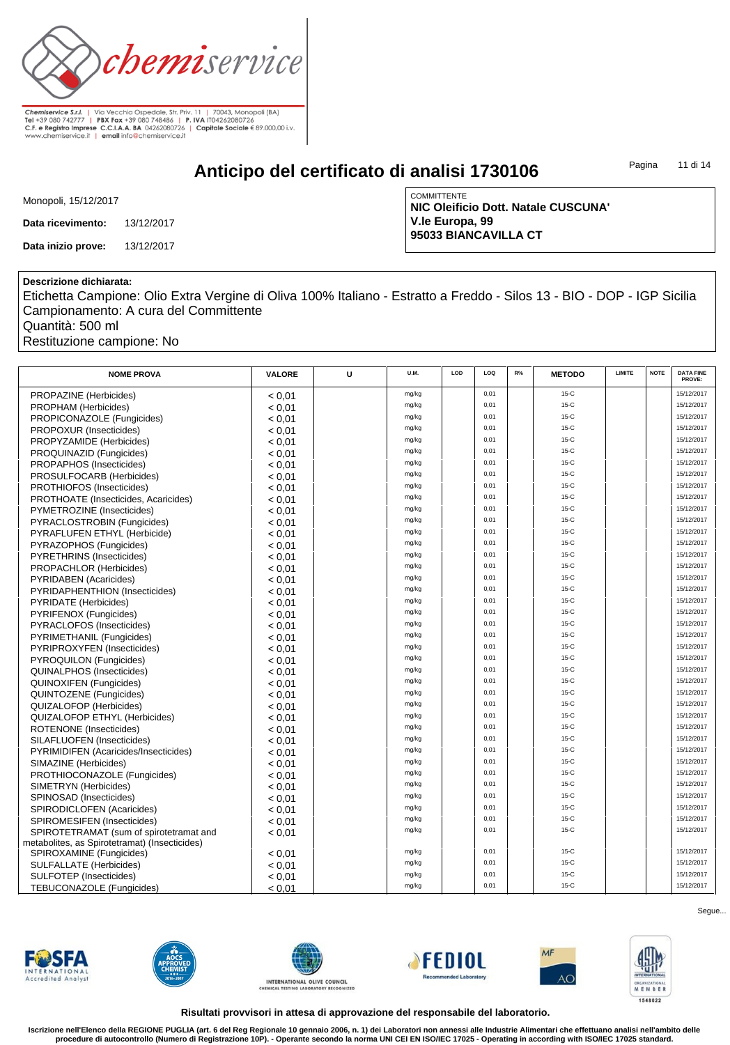

**Anticipo del certificato di analisi 1730106**

Pagina 11 di 14

| Monopoli, 15/12/2017 |
|----------------------|
|----------------------|

**Data ricevimento:** 13/12/2017

**Data inizio prove:** 13/12/2017

**COMMITTENTE NIC Oleificio Dott. Natale CUSCUNA' V.le Europa, 99 95033 BIANCAVILLA CT**

### **Descrizione dichiarata:**

Etichetta Campione: Olio Extra Vergine di Oliva 100% Italiano - Estratto a Freddo - Silos 13 - BIO - DOP - IGP Sicilia Campionamento: A cura del Committente

Quantità: 500 ml

Restituzione campione: No

| <b>NOME PROVA</b>                             | <b>VALORE</b> | U | U.M.  | LOD | LOQ  | R% | <b>METODO</b> | <b>LIMITE</b> | <b>NOTE</b> | <b>DATA FINE</b><br>PROVE: |
|-----------------------------------------------|---------------|---|-------|-----|------|----|---------------|---------------|-------------|----------------------------|
| PROPAZINE (Herbicides)                        | < 0.01        |   | mg/kg |     | 0,01 |    | $15-C$        |               |             | 15/12/2017                 |
| PROPHAM (Herbicides)                          | < 0.01        |   | mg/kg |     | 0,01 |    | $15-C$        |               |             | 15/12/2017                 |
| PROPICONAZOLE (Fungicides)                    | < 0.01        |   | mg/kg |     | 0,01 |    | $15-C$        |               |             | 15/12/2017                 |
| PROPOXUR (Insecticides)                       | < 0.01        |   | mg/kg |     | 0,01 |    | $15-C$        |               |             | 15/12/2017                 |
| PROPYZAMIDE (Herbicides)                      | < 0.01        |   | mg/kg |     | 0,01 |    | $15-C$        |               |             | 15/12/2017                 |
| PROQUINAZID (Fungicides)                      | < 0.01        |   | mg/kg |     | 0,01 |    | $15-C$        |               |             | 15/12/2017                 |
| PROPAPHOS (Insecticides)                      | < 0.01        |   | mg/kg |     | 0,01 |    | $15-C$        |               |             | 15/12/2017                 |
| PROSULFOCARB (Herbicides)                     | < 0.01        |   | mg/kg |     | 0,01 |    | $15-C$        |               |             | 15/12/2017                 |
| PROTHIOFOS (Insecticides)                     | < 0.01        |   | mg/kg |     | 0,01 |    | $15-C$        |               |             | 15/12/2017                 |
| PROTHOATE (Insecticides, Acaricides)          | < 0.01        |   | mg/kg |     | 0,01 |    | $15-C$        |               |             | 15/12/2017                 |
| PYMETROZINE (Insecticides)                    | < 0.01        |   | mg/kg |     | 0,01 |    | $15-C$        |               |             | 15/12/2017                 |
| PYRACLOSTROBIN (Fungicides)                   | < 0.01        |   | mg/kg |     | 0,01 |    | $15-C$        |               |             | 15/12/2017                 |
| PYRAFLUFEN ETHYL (Herbicide)                  | < 0.01        |   | mg/kg |     | 0,01 |    | $15-C$        |               |             | 15/12/2017                 |
| PYRAZOPHOS (Fungicides)                       | < 0.01        |   | mg/kg |     | 0,01 |    | $15-C$        |               |             | 15/12/2017                 |
| PYRETHRINS (Insecticides)                     | < 0.01        |   | mg/kg |     | 0,01 |    | $15-C$        |               |             | 15/12/2017                 |
| PROPACHLOR (Herbicides)                       | < 0.01        |   | mg/kg |     | 0,01 |    | $15-C$        |               |             | 15/12/2017                 |
| <b>PYRIDABEN</b> (Acaricides)                 | < 0.01        |   | mg/kg |     | 0,01 |    | $15-C$        |               |             | 15/12/2017                 |
| PYRIDAPHENTHION (Insecticides)                | < 0.01        |   | mg/kg |     | 0,01 |    | $15-C$        |               |             | 15/12/2017                 |
| <b>PYRIDATE</b> (Herbicides)                  | < 0.01        |   | mg/kg |     | 0,01 |    | $15-C$        |               |             | 15/12/2017                 |
| PYRIFENOX (Fungicides)                        | < 0.01        |   | mg/kg |     | 0,01 |    | $15-C$        |               |             | 15/12/2017                 |
| PYRACLOFOS (Insecticides)                     | < 0.01        |   | mg/kg |     | 0,01 |    | $15-C$        |               |             | 15/12/2017                 |
| PYRIMETHANIL (Fungicides)                     | < 0.01        |   | mg/kg |     | 0,01 |    | $15-C$        |               |             | 15/12/2017                 |
| PYRIPROXYFEN (Insecticides)                   | < 0.01        |   | mg/kg |     | 0,01 |    | $15-C$        |               |             | 15/12/2017                 |
| PYROQUILON (Fungicides)                       | < 0.01        |   | mg/kg |     | 0,01 |    | $15-C$        |               |             | 15/12/2017                 |
| <b>QUINALPHOS (Insecticides)</b>              | < 0.01        |   | mg/kg |     | 0,01 |    | $15-C$        |               |             | 15/12/2017                 |
| <b>QUINOXIFEN (Fungicides)</b>                | < 0.01        |   | mg/kg |     | 0,01 |    | $15-C$        |               |             | 15/12/2017                 |
| <b>QUINTOZENE</b> (Fungicides)                | < 0.01        |   | mg/kg |     | 0,01 |    | $15-C$        |               |             | 15/12/2017                 |
| <b>QUIZALOFOP</b> (Herbicides)                | < 0.01        |   | mg/kg |     | 0,01 |    | $15-C$        |               |             | 15/12/2017                 |
| <b>QUIZALOFOP ETHYL (Herbicides)</b>          | < 0.01        |   | mg/kg |     | 0,01 |    | $15-C$        |               |             | 15/12/2017                 |
| ROTENONE (Insecticides)                       | < 0.01        |   | mg/kg |     | 0,01 |    | $15-C$        |               |             | 15/12/2017                 |
| SILAFLUOFEN (Insecticides)                    | < 0.01        |   | mg/kg |     | 0,01 |    | $15-C$        |               |             | 15/12/2017                 |
| PYRIMIDIFEN (Acaricides/Insecticides)         | < 0.01        |   | mg/kg |     | 0,01 |    | $15-C$        |               |             | 15/12/2017                 |
| SIMAZINE (Herbicides)                         | < 0.01        |   | mg/kg |     | 0,01 |    | $15-C$        |               |             | 15/12/2017                 |
| PROTHIOCONAZOLE (Fungicides)                  | < 0.01        |   | mg/kg |     | 0,01 |    | $15-C$        |               |             | 15/12/2017                 |
| SIMETRYN (Herbicides)                         | < 0.01        |   | mg/kg |     | 0,01 |    | $15-C$        |               |             | 15/12/2017                 |
| SPINOSAD (Insecticides)                       | < 0.01        |   | mg/kg |     | 0,01 |    | $15-C$        |               |             | 15/12/2017                 |
| SPIRODICLOFEN (Acaricides)                    | < 0.01        |   | mg/kg |     | 0,01 |    | $15-C$        |               |             | 15/12/2017                 |
| SPIROMESIFEN (Insecticides)                   | < 0.01        |   | mg/kg |     | 0,01 |    | $15-C$        |               |             | 15/12/2017                 |
| SPIROTETRAMAT (sum of spirotetramat and       | < 0.01        |   | mg/kg |     | 0,01 |    | $15-C$        |               |             | 15/12/2017                 |
| metabolites, as Spirotetramat) (Insecticides) |               |   |       |     |      |    |               |               |             |                            |
| SPIROXAMINE (Fungicides)                      | < 0.01        |   | mg/kg |     | 0,01 |    | $15-C$        |               |             | 15/12/2017                 |
| <b>SULFALLATE</b> (Herbicides)                | < 0.01        |   | mg/kg |     | 0,01 |    | $15-C$        |               |             | 15/12/2017                 |
| <b>SULFOTEP</b> (Insecticides)                | < 0.01        |   | mg/kg |     | 0,01 |    | $15-C$        |               |             | 15/12/2017                 |
| TEBUCONAZOLE (Fungicides)                     | < 0.01        |   | mg/kg |     | 0.01 |    | $15-C$        |               |             | 15/12/2017                 |

**FWSFA Accredited Analys** 











Segue...

**Risultati provvisori in attesa di approvazione del responsabile del laboratorio.**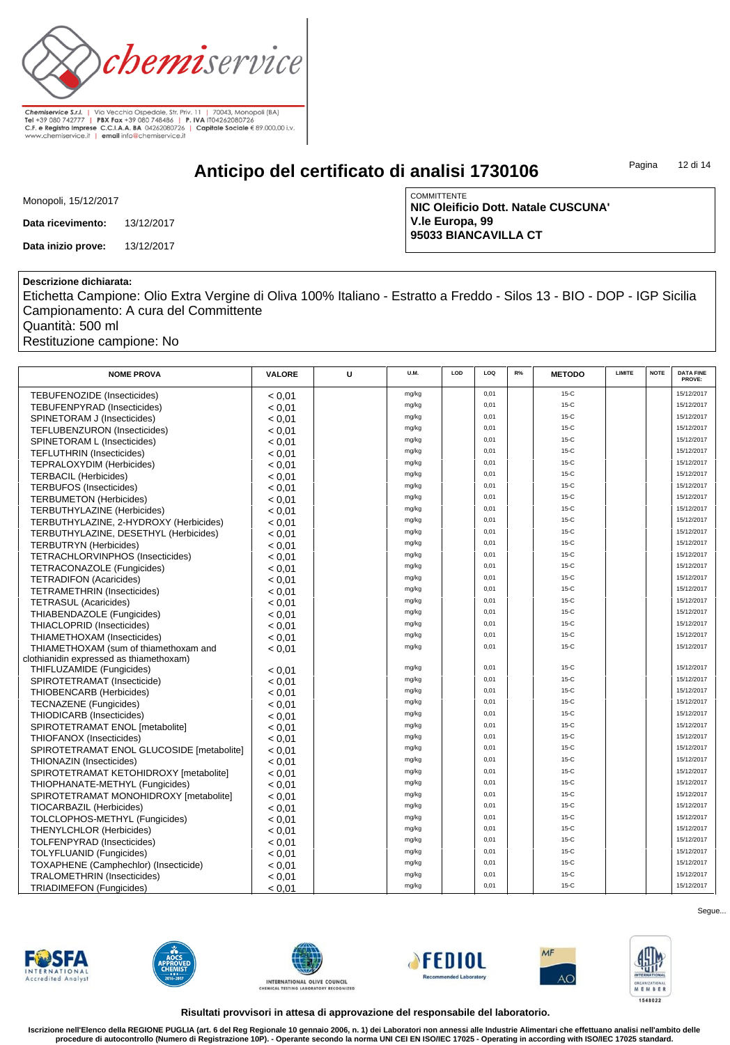

**Anticipo del certificato di analisi 1730106**

Pagina 12 di 14

| Monopoli, 15/12/2017 |
|----------------------|
|----------------------|

**Data ricevimento:** 13/12/2017

**Data inizio prove:** 13/12/2017

**COMMITTENTE NIC Oleificio Dott. Natale CUSCUNA' V.le Europa, 99 95033 BIANCAVILLA CT**

#### **Descrizione dichiarata:**

Etichetta Campione: Olio Extra Vergine di Oliva 100% Italiano - Estratto a Freddo - Silos 13 - BIO - DOP - IGP Sicilia Campionamento: A cura del Committente

Quantità: 500 ml

Restituzione campione: No

| <b>NOME PROVA</b>                         | <b>VALORE</b> | U | <b>U.M.</b>    | LOD | LOQ  | R% | <b>METODO</b> | LIMITE | <b>NOTE</b> | <b>DATA FINE</b><br>PROVE: |
|-------------------------------------------|---------------|---|----------------|-----|------|----|---------------|--------|-------------|----------------------------|
| TEBUFENOZIDE (Insecticides)               | < 0.01        |   | mg/kg          |     | 0,01 |    | $15-C$        |        |             | 15/12/2017                 |
| <b>TEBUFENPYRAD (Insecticides)</b>        | < 0.01        |   | mg/kg          |     | 0,01 |    | $15-C$        |        |             | 15/12/2017                 |
| SPINETORAM J (Insecticides)               | < 0.01        |   | mg/kg          |     | 0,01 |    | $15-C$        |        |             | 15/12/2017                 |
| TEFLUBENZURON (Insecticides)              | < 0.01        |   | mg/kg          |     | 0,01 |    | $15-C$        |        |             | 15/12/2017                 |
| SPINETORAM L (Insecticides)               | < 0.01        |   | mg/kg          |     | 0,01 |    | $15-C$        |        |             | 15/12/2017                 |
| <b>TEFLUTHRIN (Insecticides)</b>          | < 0.01        |   | mg/kg          |     | 0,01 |    | $15-C$        |        |             | 15/12/2017                 |
| <b>TEPRALOXYDIM (Herbicides)</b>          | < 0.01        |   | mg/kg          |     | 0,01 |    | $15-C$        |        |             | 15/12/2017                 |
| <b>TERBACIL (Herbicides)</b>              | < 0.01        |   | mg/kg          |     | 0,01 |    | $15-C$        |        |             | 15/12/2017                 |
| <b>TERBUFOS (Insecticides)</b>            | < 0.01        |   | mg/kg          |     | 0,01 |    | $15-C$        |        |             | 15/12/2017                 |
| <b>TERBUMETON (Herbicides)</b>            | < 0.01        |   | mg/kg          |     | 0,01 |    | $15-C$        |        |             | 15/12/2017                 |
| TERBUTHYLAZINE (Herbicides)               | < 0.01        |   | mg/kg          |     | 0,01 |    | $15-C$        |        |             | 15/12/2017                 |
| TERBUTHYLAZINE, 2-HYDROXY (Herbicides)    |               |   | mg/kg          |     | 0,01 |    | $15-C$        |        |             | 15/12/2017                 |
| TERBUTHYLAZINE, DESETHYL (Herbicides)     | < 0.01        |   | mg/kg          |     | 0,01 |    | $15-C$        |        |             | 15/12/2017                 |
| <b>TERBUTRYN</b> (Herbicides)             | < 0.01        |   | mg/kg          |     | 0,01 |    | $15-C$        |        |             | 15/12/2017                 |
|                                           | < 0.01        |   | mg/kg          |     | 0,01 |    | $15-C$        |        |             | 15/12/2017                 |
| <b>TETRACHLORVINPHOS (Insecticides)</b>   | < 0.01        |   | mg/kg          |     | 0,01 |    | $15-C$        |        |             | 15/12/2017                 |
| <b>TETRACONAZOLE (Fungicides)</b>         | < 0.01        |   | mg/kg          |     | 0,01 |    | $15-C$        |        |             | 15/12/2017                 |
| <b>TETRADIFON (Acaricides)</b>            | < 0.01        |   | mg/kg          |     | 0,01 |    | $15-C$        |        |             | 15/12/2017                 |
| <b>TETRAMETHRIN</b> (Insecticides)        | < 0.01        |   | mg/kg          |     | 0,01 |    | $15-C$        |        |             | 15/12/2017                 |
| <b>TETRASUL (Acaricides)</b>              | < 0.01        |   | mg/kg          |     | 0,01 |    | $15-C$        |        |             | 15/12/2017                 |
| THIABENDAZOLE (Fungicides)                | < 0.01        |   |                |     | 0,01 |    | $15-C$        |        |             | 15/12/2017                 |
| THIACLOPRID (Insecticides)                | < 0.01        |   | mg/kg          |     | 0.01 |    | $15-C$        |        |             | 15/12/2017                 |
| THIAMETHOXAM (Insecticides)               | < 0.01        |   | mg/kg          |     |      |    | $15-C$        |        |             | 15/12/2017                 |
| THIAMETHOXAM (sum of thiamethoxam and     | < 0.01        |   | mg/kg          |     | 0,01 |    |               |        |             |                            |
| clothianidin expressed as thiamethoxam)   |               |   | mg/kg          |     | 0,01 |    | $15-C$        |        |             | 15/12/2017                 |
| THIFLUZAMIDE (Fungicides)                 | < 0.01        |   | mg/kg          |     | 0,01 |    | $15-C$        |        |             | 15/12/2017                 |
| SPIROTETRAMAT (Insecticide)               | < 0.01        |   | mg/kg          |     | 0,01 |    | $15-C$        |        |             | 15/12/2017                 |
| THIOBENCARB (Herbicides)                  | < 0.01        |   |                |     | 0,01 |    | $15-C$        |        |             | 15/12/2017                 |
| <b>TECNAZENE</b> (Fungicides)             | < 0.01        |   | mg/kg          |     | 0,01 |    | $15-C$        |        |             | 15/12/2017                 |
| THIODICARB (Insecticides)                 | < 0.01        |   | mg/kg          |     | 0.01 |    | $15-C$        |        |             | 15/12/2017                 |
| SPIROTETRAMAT ENOL [metabolite]           | < 0.01        |   | mg/kg<br>mg/kg |     | 0,01 |    | $15-C$        |        |             | 15/12/2017                 |
| THIOFANOX (Insecticides)                  | < 0.01        |   |                |     | 0,01 |    | $15-C$        |        |             | 15/12/2017                 |
| SPIROTETRAMAT ENOL GLUCOSIDE [metabolite] | < 0.01        |   | mg/kg<br>mg/kg |     | 0,01 |    | $15-C$        |        |             | 15/12/2017                 |
| THIONAZIN (Insecticides)                  | < 0.01        |   |                |     |      |    | $15-C$        |        |             | 15/12/2017                 |
| SPIROTETRAMAT KETOHIDROXY [metabolite]    | < 0.01        |   | mg/kg          |     | 0,01 |    |               |        |             |                            |
| THIOPHANATE-METHYL (Fungicides)           | < 0.01        |   | mg/kg          |     | 0,01 |    | $15-C$        |        |             | 15/12/2017                 |
| SPIROTETRAMAT MONOHIDROXY [metabolite]    | < 0.01        |   | mg/kg          |     | 0,01 |    | $15-C$        |        |             | 15/12/2017                 |
| TIOCARBAZIL (Herbicides)                  | < 0.01        |   | mg/kg          |     | 0,01 |    | $15-C$        |        |             | 15/12/2017                 |
| TOLCLOPHOS-METHYL (Fungicides)            | < 0.01        |   | mg/kg          |     | 0,01 |    | $15-C$        |        |             | 15/12/2017                 |
| <b>THENYLCHLOR (Herbicides)</b>           | < 0.01        |   | mg/kg          |     | 0,01 |    | $15-C$        |        |             | 15/12/2017                 |
| TOLFENPYRAD (Insecticides)                | < 0.01        |   | mg/kg          |     | 0,01 |    | $15-C$        |        |             | 15/12/2017                 |
| TOLYFLUANID (Fungicides)                  | < 0.01        |   | mg/kg          |     | 0,01 |    | $15-C$        |        |             | 15/12/2017                 |
| TOXAPHENE (Camphechlor) (Insecticide)     | < 0.01        |   | mg/kg          |     | 0,01 |    | $15-C$        |        |             | 15/12/2017                 |
| <b>TRALOMETHRIN (Insecticides)</b>        | < 0.01        |   | mg/kg          |     | 0,01 |    | $15-C$        |        |             | 15/12/2017                 |
| <b>TRIADIMEFON (Fungicides)</b>           | < 0.01        |   | mg/kg          |     | 0.01 |    | $15-C$        |        |             | 15/12/2017                 |













Segue...

**Risultati provvisori in attesa di approvazione del responsabile del laboratorio.**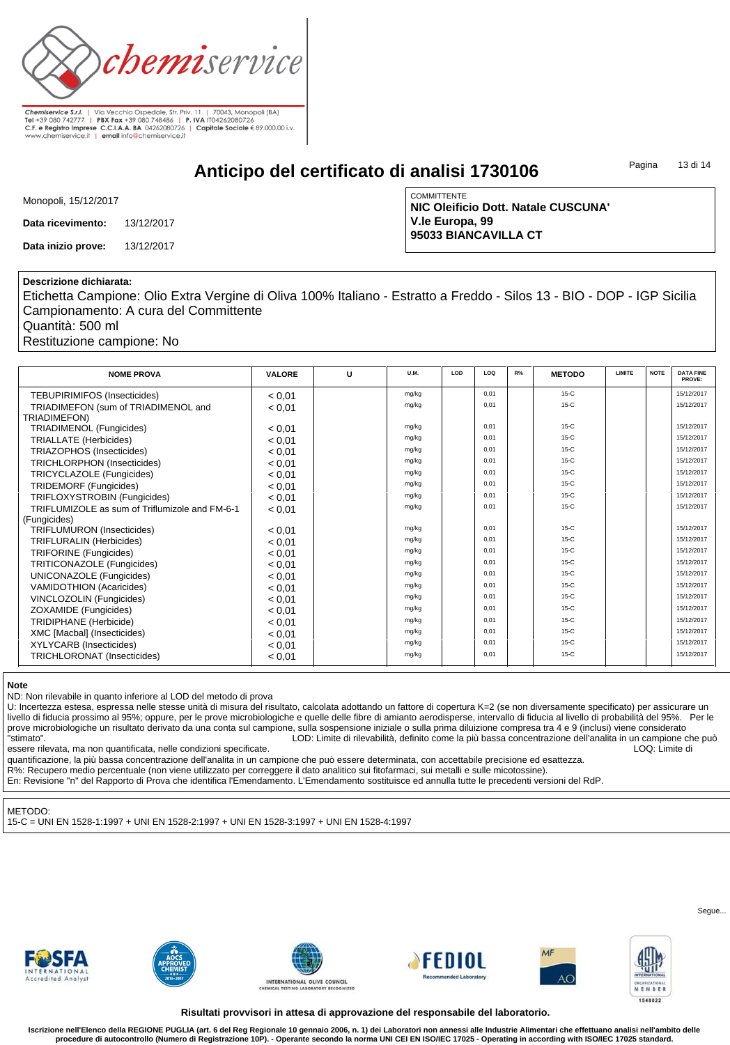

**Chemiservice S.r.l.** | Via Vecchia Ospedale, Str. Priv. 11 | 70043, Monopoli (BA)<br> **Tel** +39 080 742777 | **PBX Fax +**39 080 748486 | **P. IVA** IT04262080726<br> **C.F. e Registro Imprese C.C.I.A.A. BA** 04262080726 | Capi**tale** 

### **Anticipo del certificato di analisi 1730106**

Pagina 13 di 14

| Monopoli, 15/12/2017 |
|----------------------|
|----------------------|

**Data ricevimento:** 13/12/2017

**Data inizio prove:** 13/12/2017

**COMMITTENTE NIC Oleificio Dott. Natale CUSCUNA' V.le Europa, 99 95033 BIANCAVILLA CT**

#### **Descrizione dichiarata:**

Etichetta Campione: Olio Extra Vergine di Oliva 100% Italiano - Estratto a Freddo - Silos 13 - BIO - DOP - IGP Sicilia Campionamento: A cura del Committente

Quantità: 500 ml

Restituzione campione: No

| <b>NOME PROVA</b>                              | <b>VALORE</b> | $\mathbf{U}$ | <b>U.M.</b> | LOD | LOQ  | R% | <b>METODO</b> | <b>LIMITE</b> | <b>NOTE</b> | <b>DATA FINE</b><br>PROVE: |
|------------------------------------------------|---------------|--------------|-------------|-----|------|----|---------------|---------------|-------------|----------------------------|
| <b>TEBUPIRIMIFOS (Insecticides)</b>            | < 0.01        |              | mg/kg       |     | 0.01 |    | $15-C$        |               |             | 15/12/2017                 |
| TRIADIMEFON (sum of TRIADIMENOL and            | < 0.01        |              | mg/kg       |     | 0,01 |    | $15-C$        |               |             | 15/12/2017                 |
| <b>TRIADIMEFON)</b>                            |               |              |             |     |      |    |               |               |             |                            |
| TRIADIMENOL (Fungicides)                       | < 0.01        |              | mg/kg       |     | 0,01 |    | $15-C$        |               |             | 15/12/2017                 |
| <b>TRIALLATE (Herbicides)</b>                  | < 0.01        |              | mg/kg       |     | 0,01 |    | $15-C$        |               |             | 15/12/2017                 |
| <b>TRIAZOPHOS (Insecticides)</b>               | < 0.01        |              | mg/kg       |     | 0.01 |    | $15-C$        |               |             | 15/12/2017                 |
| TRICHLORPHON (Insecticides)                    | < 0.01        |              | mg/kg       |     | 0.01 |    | $15-C$        |               |             | 15/12/2017                 |
| TRICYCLAZOLE (Fungicides)                      | < 0.01        |              | mg/kg       |     | 0,01 |    | $15-C$        |               |             | 15/12/2017                 |
| <b>TRIDEMORF (Fungicides)</b>                  | < 0.01        |              | mg/kg       |     | 0.01 |    | $15-C$        |               |             | 15/12/2017                 |
| TRIFLOXYSTROBIN (Fungicides)                   | < 0.01        |              | mg/kg       |     | 0,01 |    | $15-C$        |               |             | 15/12/2017                 |
| TRIFLUMIZOLE as sum of Triflumizole and FM-6-1 | < 0.01        |              | mg/kg       |     | 0,01 |    | $15-C$        |               |             | 15/12/2017                 |
| (Fungicides)                                   |               |              |             |     |      |    |               |               |             |                            |
| TRIFLUMURON (Insecticides)                     | < 0.01        |              | mg/kg       |     | 0,01 |    | $15-C$        |               |             | 15/12/2017                 |
| <b>TRIFLURALIN (Herbicides)</b>                | < 0.01        |              | mg/kg       |     | 0.01 |    | $15-C$        |               |             | 15/12/2017                 |
| TRIFORINE (Fungicides)                         | < 0.01        |              | mg/kg       |     | 0,01 |    | $15-C$        |               |             | 15/12/2017                 |
| TRITICONAZOLE (Fungicides)                     | < 0.01        |              | mg/kg       |     | 0,01 |    | $15-C$        |               |             | 15/12/2017                 |
| UNICONAZOLE (Fungicides)                       | < 0.01        |              | mg/kg       |     | 0,01 |    | $15-C$        |               |             | 15/12/2017                 |
| <b>VAMIDOTHION (Acaricides)</b>                | < 0.01        |              | mg/kg       |     | 0.01 |    | $15-C$        |               |             | 15/12/2017                 |
| VINCLOZOLIN (Fungicides)                       | < 0.01        |              | mg/kg       |     | 0.01 |    | $15-C$        |               |             | 15/12/2017                 |
| ZOXAMIDE (Fungicides)                          | < 0.01        |              | mg/kg       |     | 0,01 |    | $15-C$        |               |             | 15/12/2017                 |
| TRIDIPHANE (Herbicide)                         | < 0.01        |              | mg/kg       |     | 0,01 |    | $15-C$        |               |             | 15/12/2017                 |
| XMC [Macbal] (Insecticides)                    | < 0.01        |              | mg/kg       |     | 0,01 |    | $15-C$        |               |             | 15/12/2017                 |
| XYLYCARB (Insecticides)                        | < 0.01        |              | mg/kg       |     | 0,01 |    | $15-C$        |               |             | 15/12/2017                 |
| TRICHLORONAT (Insecticides)                    | < 0.01        |              | mg/kg       |     | 0,01 |    | $15-C$        |               |             | 15/12/2017                 |

#### **Note**

ND: Non rilevabile in quanto inferiore al LOD del metodo di prova

U: Incertezza estesa, espressa nelle stesse unità di misura del risultato, calcolata adottando un fattore di copertura K=2 (se non diversamente specificato) per assicurare un livello di fiducia prossimo al 95%; oppure, per le prove microbiologiche e quelle delle fibre di amianto aerodisperse, intervallo di fiducia al livello di probabilità del 95%. Per le prove microbiologiche un risultato derivato da una conta sul campione, sulla sospensione iniziale o sulla prima diluizione compresa tra 4 e 9 (inclusi) viene considerato<br>CD: Limite di rilevabilità. definito come la più bas LOD: Limite di rilevabilità, definito come la più bassa concentrazione dell'analita in un campione che può<br>LOQ: Limite di

essere rilevata, ma non quantificata, nelle condizioni specificate.

quantificazione, la più bassa concentrazione dell'analita in un campione che può essere determinata, con accettabile precisione ed esattezza. R%: Recupero medio percentuale (non viene utilizzato per correggere il dato analitico sui fitofarmaci, sui metalli e sulle micotossine).

En: Revisione "n" del Rapporto di Prova che identifica l'Emendamento. L'Emendamento sostituisce ed annulla tutte le precedenti versioni del RdP.

#### METODO:

15-C = UNI EN 1528-1:1997 + UNI EN 1528-2:1997 + UNI EN 1528-3:1997 + UNI EN 1528-4:1997













Segue...

**Risultati provvisori in attesa di approvazione del responsabile del laboratorio.**